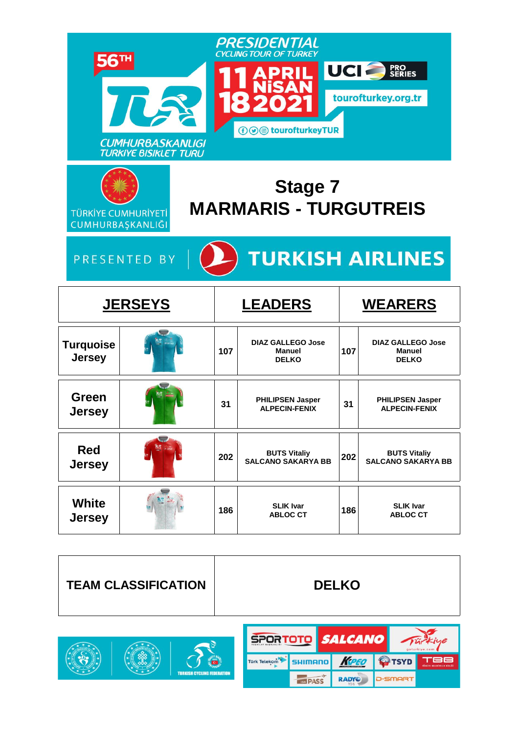|                                                | <b>CUMHURBASKANLIGI</b><br><b>TURKIYE BISIKLET TURU</b> |     | PRESIDENTIAL<br><b>CYCLING TOUR OF TURKEY</b><br><b><i>⊕</i> @</b> tourofturkeyTUR |     | UCI<br><b>PRO<br/>SERIES</b><br>tourofturkey.org.tr       |
|------------------------------------------------|---------------------------------------------------------|-----|------------------------------------------------------------------------------------|-----|-----------------------------------------------------------|
| <b>TÜRKİYE CUMHURİYETİ</b><br>CUMHURBAŞKANLIĞI |                                                         |     | <b>Stage 7</b><br><b>MARMARIS - TURGUTREIS</b>                                     |     |                                                           |
|                                                | PRESENTED BY                                            |     | <b>TURKISH AIRLINES</b>                                                            |     |                                                           |
|                                                | <b>JERSEYS</b>                                          |     | <b>LEADERS</b>                                                                     |     | <b>WEARERS</b>                                            |
|                                                |                                                         |     |                                                                                    |     |                                                           |
| <b>Turquoise</b><br><b>Jersey</b>              |                                                         | 107 | <b>DIAZ GALLEGO Jose</b><br><b>Manuel</b><br><b>DELKO</b>                          | 107 | <b>DIAZ GALLEGO Jose</b><br><b>Manuel</b><br><b>DELKO</b> |
| Green<br><b>Jersey</b>                         |                                                         | 31  | <b>PHILIPSEN Jasper</b><br><b>ALPECIN-FENIX</b>                                    | 31  | <b>PHILIPSEN Jasper</b><br><b>ALPECIN-FENIX</b>           |
| <b>Red</b><br><b>Jersey</b>                    | $\overline{\phantom{a}}$                                | 202 | <b>BUTS Vitaliy</b><br><b>SALCANO SAKARYA BB</b>                                   | 202 | <b>BUTS Vitaliy</b><br><b>SALCANO SAKARYA BB</b>          |



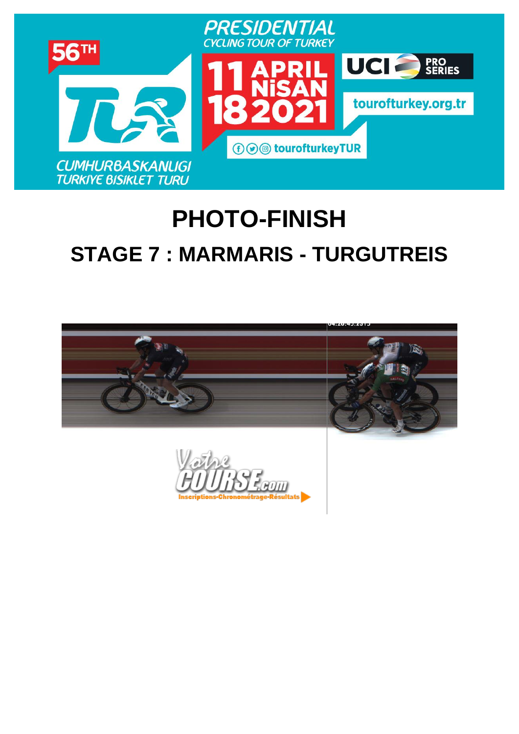

# **PHOTO-FINISH [STAGE](https://www.procyclingstats.com/race/tour-of-turkey/2021/stage-1) 7 : MARMARIS - TURGUTREIS**

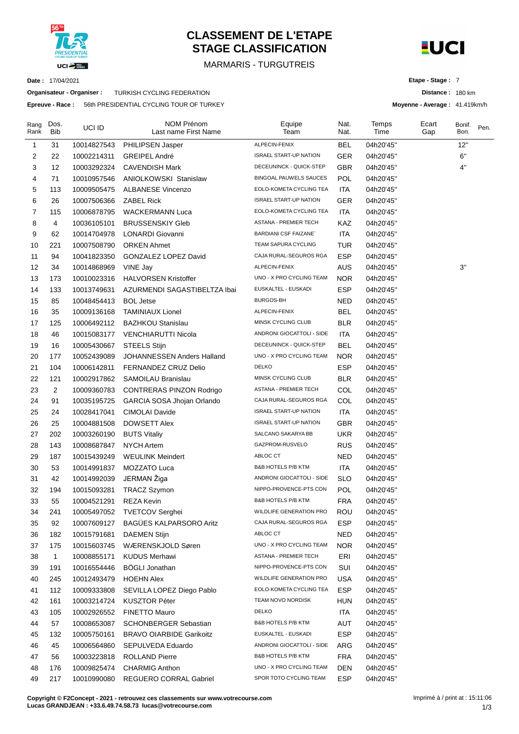

# **CLASSEMENT DE L'ETAPE STAGE CLASSIFICATION**

# MARMARIS - TURGUTREIS



**Distance :** 180 km **Moyenne - Average :** 41.419km/h

**Etape - Stage :** 7

**Date :** 17/04/2021

**Organisateur - Organiser :** TURKISH CYCLING FEDERATION

**Epreuve - Race :** 56th PRESIDENTIAL CYCLING TOUR OF TURKEY

| Rang<br>Rank | Dos.<br>Bib    | UCI ID      | <b>NOM Prénom</b><br>Last name First Name | Equipe<br>Team                | Nat.<br>Nat. | Temps<br>Time | Ecart<br>Gap | Bonif.<br>Bon. | Pen. |
|--------------|----------------|-------------|-------------------------------------------|-------------------------------|--------------|---------------|--------------|----------------|------|
| 1            | 31             | 10014827543 | PHILIPSEN Jasper                          | ALPECIN-FENIX                 | <b>BEL</b>   | 04h20'45"     |              | 12"            |      |
| 2            | 22             | 10002214311 | <b>GREIPEL André</b>                      | <b>ISRAEL START-UP NATION</b> | <b>GER</b>   | 04h20'45"     |              | 6"             |      |
| 3            | 12             | 10003292324 | <b>CAVENDISH Mark</b>                     | DECEUNINCK - QUICK-STEP       | <b>GBR</b>   | 04h20'45"     |              | 4"             |      |
| 4            | 71             | 10010957546 | ANIOLKOWSKI Stanislaw                     | <b>BINGOAL PAUWELS SAUCES</b> | <b>POL</b>   | 04h20'45"     |              |                |      |
| 5            | 113            | 10009505475 | <b>ALBANESE Vincenzo</b>                  | EOLO-KOMETA CYCLING TEA       | <b>ITA</b>   | 04h20'45"     |              |                |      |
| 6            | 26             | 10007506366 | <b>ZABEL Rick</b>                         | <b>ISRAEL START-UP NATION</b> | GER          | 04h20'45"     |              |                |      |
| 7            | 115            | 10006878795 | <b>WACKERMANN Luca</b>                    | EOLO-KOMETA CYCLING TEA       | <b>ITA</b>   | 04h20'45"     |              |                |      |
| 8            | 4              | 10036105101 | <b>BRUSSENSKIY Gleb</b>                   | ASTANA - PREMIER TECH         | KAZ          | 04h20'45"     |              |                |      |
| 9            | 62             | 10014704978 | LONARDI Giovanni                          | <b>BARDIANI CSF FAIZANE</b>   | <b>ITA</b>   | 04h20'45"     |              |                |      |
| 10           | 221            | 10007508790 | <b>ORKEN Ahmet</b>                        | TEAM SAPURA CYCLING           | TUR          | 04h20'45"     |              |                |      |
| 11           | 94             | 10041823350 | GONZALEZ LOPEZ David                      | CAJA RURAL-SEGUROS RGA        | <b>ESP</b>   | 04h20'45"     |              |                |      |
| 12           | 34             | 10014868969 | VINE Jay                                  | ALPECIN-FENIX                 | <b>AUS</b>   | 04h20'45"     |              | 3"             |      |
| 13           | 173            | 10010023316 | <b>HALVORSEN Kristoffer</b>               | UNO - X PRO CYCLING TEAM      | <b>NOR</b>   | 04h20'45"     |              |                |      |
| 14           | 133            | 10013749631 | AZURMENDI SAGASTIBELTZA Ibai              | EUSKALTEL - EUSKADI           | <b>ESP</b>   | 04h20'45"     |              |                |      |
| 15           | 85             | 10048454413 | <b>BOL Jetse</b>                          | BURGOS-BH                     | <b>NED</b>   | 04h20'45"     |              |                |      |
| 16           | 35             | 10009136168 | <b>TAMINIAUX Lionel</b>                   | ALPECIN-FENIX                 | <b>BEL</b>   | 04h20'45"     |              |                |      |
| 17           | 125            | 10006492112 | <b>BAZHKOU Stanislau</b>                  | MINSK CYCLING CLUB            | <b>BLR</b>   | 04h20'45"     |              |                |      |
| 18           | 46             | 10015083177 | <b>VENCHIARUTTI Nicola</b>                | ANDRONI GIOCATTOLI - SIDE     | <b>ITA</b>   | 04h20'45"     |              |                |      |
| 19           | 16             | 10005430667 | STEELS Stijn                              | DECEUNINCK - QUICK-STEP       | BEL          | 04h20'45"     |              |                |      |
| 20           | 177            | 10052439089 | JOHANNESSEN Anders Halland                | UNO - X PRO CYCLING TEAM      | NOR.         | 04h20'45"     |              |                |      |
| 21           | 104            | 10006142811 | <b>FERNANDEZ CRUZ Delio</b>               | <b>DELKO</b>                  | <b>ESP</b>   | 04h20'45"     |              |                |      |
| 22           | 121            | 10002917862 | SAMOILAU Branislau                        | MINSK CYCLING CLUB            | <b>BLR</b>   | 04h20'45"     |              |                |      |
| 23           | $\overline{c}$ | 10009360783 | CONTRERAS PINZON Rodrigo                  | ASTANA - PREMIER TECH         | COL          | 04h20'45"     |              |                |      |
| 24           | 91             | 10035195725 | GARCIA SOSA Jhojan Orlando                | CAJA RURAL-SEGUROS RGA        | COL          | 04h20'45"     |              |                |      |
| 25           | 24             | 10028417041 | <b>CIMOLAI Davide</b>                     | <b>ISRAEL START-UP NATION</b> | <b>ITA</b>   | 04h20'45"     |              |                |      |
| 26           | 25             | 10004881508 | <b>DOWSETT Alex</b>                       | <b>ISRAEL START-UP NATION</b> | <b>GBR</b>   | 04h20'45"     |              |                |      |
| 27           | 202            | 10003260190 | <b>BUTS Vitaliy</b>                       | SALCANO SAKARYA BB            | <b>UKR</b>   | 04h20'45"     |              |                |      |
| 28           | 143            | 10008687847 | <b>NYCH Artem</b>                         | GAZPROM-RUSVELO               | <b>RUS</b>   | 04h20'45"     |              |                |      |
| 29           | 187            | 10015439249 | <b>WEULINK Meindert</b>                   | ABLOC CT                      | <b>NED</b>   | 04h20'45"     |              |                |      |
| 30           | 53             | 10014991837 | MOZZATO Luca                              | <b>B&amp;B HOTELS P/B KTM</b> | <b>ITA</b>   | 04h20'45"     |              |                |      |
| 31           | 42             | 10014992039 | JERMAN Žiga                               | ANDRONI GIOCATTOLI - SIDE     | <b>SLO</b>   | 04h20'45"     |              |                |      |
| 32           | 194            | 10015093281 | <b>TRACZ Szymon</b>                       | NIPPO-PROVENCE-PTS CON        | POL          | 04h20'45"     |              |                |      |
| 33           | 55             | 10004521291 | <b>REZA Kevin</b>                         | <b>B&amp;B HOTELS P/B KTM</b> | <b>FRA</b>   | 04h20'45"     |              |                |      |
| 34           | 241            | 10005497052 | <b>TVETCOV Serghei</b>                    | WILDLIFE GENERATION PRO       | ROU          | 04h20'45"     |              |                |      |
| 35           | 92             | 10007609127 | BAGÜES KALPARSORO Aritz                   | CAJA RURAL-SEGUROS RGA        | <b>ESP</b>   | 04h20'45"     |              |                |      |
| 36           | 182            | 10015791681 | DAEMEN Stijn                              | ABLOC CT                      | <b>NED</b>   | 04h20'45"     |              |                |      |
| 37           | 175            | 10015603745 | WÆRENSKJOLD Søren                         | UNO - X PRO CYCLING TEAM      | <b>NOR</b>   | 04h20'45"     |              |                |      |
| 38           | $\mathbf{1}$   | 10008855171 | <b>KUDUS Merhawi</b>                      | ASTANA - PREMIER TECH         | ERI          | 04h20'45"     |              |                |      |
| 39           | 191            | 10016554446 | <b>BÖGLI Jonathan</b>                     | NIPPO-PROVENCE-PTS CON        | SUI          | 04h20'45"     |              |                |      |
| 40           | 245            | 10012493479 | <b>HOEHN Alex</b>                         | WILDLIFE GENERATION PRO       | <b>USA</b>   | 04h20'45"     |              |                |      |
| 41           | 112            | 10009333808 | SEVILLA LOPEZ Diego Pablo                 | EOLO-KOMETA CYCLING TEA       | <b>ESP</b>   | 04h20'45"     |              |                |      |
| 42           | 161            | 10003214724 | <b>KUSZTOR Péter</b>                      | TEAM NOVO NORDISK             | HUN          | 04h20'45"     |              |                |      |
| 43           | 105            | 10002926552 | <b>FINETTO Mauro</b>                      | <b>DELKO</b>                  | <b>ITA</b>   | 04h20'45"     |              |                |      |
| 44           | 57             | 10008653087 | <b>SCHONBERGER Sebastian</b>              | B&B HOTELS P/B KTM            | AUT          | 04h20'45"     |              |                |      |
| 45           | 132            | 10005750161 | <b>BRAVO OIARBIDE Garikoitz</b>           | EUSKALTEL - EUSKADI           | <b>ESP</b>   | 04h20'45"     |              |                |      |
| 46           | 45             | 10006564860 | SEPULVEDA Eduardo                         | ANDRONI GIOCATTOLI - SIDE     | ARG          | 04h20'45"     |              |                |      |
| 47           | 56             | 10003223818 | <b>ROLLAND Pierre</b>                     | B&B HOTELS P/B KTM            | <b>FRA</b>   | 04h20'45"     |              |                |      |
| 48           | 176            | 10009825474 | <b>CHARMIG Anthon</b>                     | UNO - X PRO CYCLING TEAM      | <b>DEN</b>   | 04h20'45"     |              |                |      |
| 49           | 217            | 10010990080 | REGUERO CORRAL Gabriel                    | SPOR TOTO CYCLING TEAM        | <b>ESP</b>   | 04h20'45"     |              |                |      |

**Copyright © F2Concept - 2021 - retrouvez ces classements sur www.votrecourse.com Lucas GRANDJEAN : +33.6.49.74.58.73 lucas@votrecourse.com**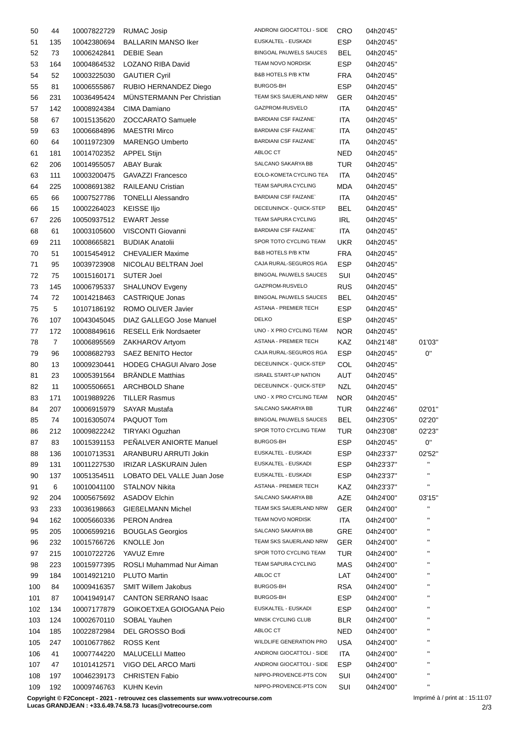| 50  | 44             | 10007822729 | <b>RUMAC Josip</b>               | ANDRONI GIOCATTOLI - SIDE     | CRO        | 04h20'45" |                       |
|-----|----------------|-------------|----------------------------------|-------------------------------|------------|-----------|-----------------------|
| 51  | 135            | 10042380694 | <b>BALLARIN MANSO Iker</b>       | EUSKALTEL - EUSKADI           | ESP        | 04h20'45" |                       |
| 52  | 73             | 10006242841 | <b>DEBIE Sean</b>                | <b>BINGOAL PAUWELS SAUCES</b> | BEL        | 04h20'45" |                       |
| 53  | 164            | 10004864532 | LOZANO RIBA David                | TEAM NOVO NORDISK             | ESP        | 04h20'45" |                       |
| 54  | 52             | 10003225030 | <b>GAUTIER Cyril</b>             | <b>B&amp;B HOTELS P/B KTM</b> | <b>FRA</b> | 04h20'45" |                       |
| 55  | 81             | 10006555867 | RUBIO HERNANDEZ Diego            | BURGOS-BH                     | <b>ESP</b> | 04h20'45" |                       |
| 56  | 231            | 10036495424 | <b>MUNSTERMANN Per Christian</b> | TEAM SKS SAUERLAND NRW        | GER        | 04h20'45" |                       |
| 57  | 142            | 10008924384 | CIMA Damiano                     | GAZPROM-RUSVELO               | ITA        | 04h20'45" |                       |
| 58  | 67             |             | <b>ZOCCARATO Samuele</b>         | <b>BARDIANI CSF FAIZANE</b>   | ITA        |           |                       |
|     |                | 10015135620 |                                  | <b>BARDIANI CSF FAIZANE`</b>  |            | 04h20'45" |                       |
| 59  | 63             | 10006684896 | <b>MAESTRI Mirco</b>             |                               | ITA        | 04h20'45" |                       |
| 60  | 64             | 10011972309 | <b>MARENGO Umberto</b>           | <b>BARDIANI CSF FAIZANE</b>   | ITA        | 04h20'45" |                       |
| 61  | 181            | 10014702352 | <b>APPEL Stijn</b>               | ABLOC CT                      | NED        | 04h20'45" |                       |
| 62  | 206            | 10014955057 | <b>ABAY Burak</b>                | SALCANO SAKARYA BB            | <b>TUR</b> | 04h20'45" |                       |
| 63  | 111            | 10003200475 | <b>GAVAZZI Francesco</b>         | EOLO-KOMETA CYCLING TEA       | ITA        | 04h20'45" |                       |
| 64  | 225            | 10008691382 | RAILEANU Cristian                | TEAM SAPURA CYCLING           | <b>MDA</b> | 04h20'45" |                       |
| 65  | 66             | 10007527786 | <b>TONELLI Alessandro</b>        | <b>BARDIANI CSF FAIZANE</b>   | <b>ITA</b> | 04h20'45" |                       |
| 66  | 15             | 10002264023 | <b>KEISSE Iljo</b>               | DECEUNINCK - QUICK-STEP       | BEL        | 04h20'45" |                       |
| 67  | 226            | 10050937512 | <b>EWART Jesse</b>               | TEAM SAPURA CYCLING           | IRL        | 04h20'45" |                       |
| 68  | 61             | 10003105600 | VISCONTI Giovanni                | <b>BARDIANI CSF FAIZANE</b>   | <b>ITA</b> | 04h20'45" |                       |
| 69  | 211            | 10008665821 | <b>BUDIAK Anatolii</b>           | SPOR TOTO CYCLING TEAM        | UKR        | 04h20'45" |                       |
| 70  | 51             | 10015454912 | <b>CHEVALIER Maxime</b>          | <b>B&amp;B HOTELS P/B KTM</b> | FRA        | 04h20'45" |                       |
| 71  | 95             | 10039723908 | NICOLAU BELTRAN Joel             | CAJA RURAL-SEGUROS RGA        | <b>ESP</b> | 04h20'45" |                       |
| 72  | 75             | 10015160171 | SUTER Joel                       | <b>BINGOAL PAUWELS SAUCES</b> | SUI        | 04h20'45" |                       |
| 73  | 145            |             | SHALUNOV Evgeny                  | GAZPROM-RUSVELO               | <b>RUS</b> | 04h20'45" |                       |
|     |                | 10006795337 |                                  |                               |            |           |                       |
| 74  | 72             | 10014218463 | CASTRIQUE Jonas                  | BINGOAL PAUWELS SAUCES        | BEL        | 04h20'45" |                       |
| 75  | 5              | 10107186192 | ROMO OLIVER Javier               | ASTANA - PREMIER TECH         | ESP        | 04h20'45" |                       |
| 76  | 107            | 10043045045 | DIAZ GALLEGO Jose Manuel         | <b>DELKO</b>                  | <b>ESP</b> | 04h20'45" |                       |
| 77  | 172            | 10008849616 | <b>RESELL Erik Nordsaeter</b>    | UNO - X PRO CYCLING TEAM      | NOR.       | 04h20'45" |                       |
| 78  | $\overline{7}$ | 10006895569 | ZAKHAROV Artyom                  | ASTANA - PREMIER TECH         | KAZ        | 04h21'48" | 01'03'                |
| 79  | 96             | 10008682793 | SAEZ BENITO Hector               | CAJA RURAL-SEGUROS RGA        | <b>ESP</b> | 04h20'45" | 0"                    |
| 80  | 13             | 10009230441 | <b>HODEG CHAGUI Alvaro Jose</b>  | DECEUNINCK - QUICK-STEP       | COL        | 04h20'45" |                       |
| 81  | 23             | 10005391564 | <b>BRÄNDLE Matthias</b>          | <b>ISRAEL START-UP NATION</b> | AUT        | 04h20'45" |                       |
| 82  | 11             | 10005506651 | <b>ARCHBOLD Shane</b>            | DECEUNINCK - QUICK-STEP       | NZL        | 04h20'45" |                       |
| 83  | 171            | 10019889226 | <b>TILLER Rasmus</b>             | UNO - X PRO CYCLING TEAM      | NOR.       | 04h20'45" |                       |
| 84  | 207            | 10006915979 | <b>SAYAR Mustafa</b>             | SALCANO SAKARYA BB            | <b>TUR</b> | 04h22'46" | 02'01'                |
| 85  | 74             | 10016305074 | PAQUOT Tom                       | BINGOAL PAUWELS SAUCES        | BEL        | 04h23'05" | 02'20'                |
| 86  | 212            | 10009822242 | TIRYAKI Oguzhan                  | SPOR TOTO CYCLING TEAM        | TUR        | 04h23'08" | 02'23'                |
|     | 83             | 10015391153 | PEÑALVER ANIORTE Manuel          | BURGOS-BH                     | <b>ESP</b> |           | 0"                    |
| 87  |                |             |                                  | EUSKALTEL - EUSKADI           |            | 04h20'45" |                       |
| 88  | 136            | 10010713531 | ARANBURU ARRUTI Jokin            |                               | <b>ESP</b> | 04h23'37" | 02'52'<br>$\mathbf H$ |
| 89  | 131            | 10011227530 | IRIZAR LASKURAIN Julen           | EUSKALTEL - EUSKADI           | ESP        | 04h23'37" |                       |
| 90  | 137            | 10051354511 | LOBATO DEL VALLE Juan Jose       | EUSKALTEL - EUSKADI           | <b>ESP</b> | 04h23'37" | $\mathbf{H}$          |
| 91  | 6              | 10010041100 | <b>STALNOV Nikita</b>            | ASTANA - PREMIER TECH         | KAZ        | 04h23'37" | $\mathbf{H}$          |
| 92  | 204            | 10005675692 | <b>ASADOV Elchin</b>             | SALCANO SAKARYA BB            | AZE        | 04h24'00" | 03'15'                |
| 93  | 233            | 10036198663 | <b>GIEßELMANN Michel</b>         | TEAM SKS SAUERLAND NRW        | <b>GER</b> | 04h24'00" | $\mathbf{H}$          |
| 94  | 162            | 10005660336 | <b>PERON Andrea</b>              | TEAM NOVO NORDISK             | ITA        | 04h24'00" | $\blacksquare$        |
| 95  | 205            | 10006599216 | <b>BOUGLAS Georgios</b>          | SALCANO SAKARYA BB            | <b>GRE</b> | 04h24'00" | $\mathbf{H}$          |
| 96  | 232            | 10015766726 | KNOLLE Jon                       | TEAM SKS SAUERLAND NRW        | <b>GER</b> | 04h24'00" | $\blacksquare$        |
| 97  | 215            | 10010722726 | YAVUZ Emre                       | SPOR TOTO CYCLING TEAM        | TUR        | 04h24'00" | $\mathbf{H}$          |
| 98  | 223            | 10015977395 | ROSLI Muhammad Nur Aiman         | TEAM SAPURA CYCLING           | MAS        | 04h24'00" | $\mathbf{H}$          |
| 99  | 184            | 10014921210 | PLUTO Martin                     | ABLOC CT                      | LAT        | 04h24'00" | $\mathbf{H}$          |
| 100 | 84             | 10009416357 | SMIT Willem Jakobus              | BURGOS-BH                     | <b>RSA</b> | 04h24'00" | $\mathbf{H}$          |
|     |                |             |                                  | BURGOS-BH                     |            |           | $\mathbf{H}$          |
| 101 | 87             | 10041949147 | <b>CANTON SERRANO Isaac</b>      |                               | <b>ESP</b> | 04h24'00" | $\blacksquare$        |
| 102 | 134            | 10007177879 | GOIKOETXEA GOIOGANA Peio         | EUSKALTEL - EUSKADI           | ESP        | 04h24'00" | $\mathbf{H}$          |
| 103 | 124            | 10002670110 | SOBAL Yauhen                     | MINSK CYCLING CLUB            | <b>BLR</b> | 04h24'00" |                       |
| 104 | 185            | 10022872984 | DEL GROSSO Bodi                  | ABLOC CT                      | <b>NED</b> | 04h24'00" |                       |
| 105 | 247            | 10010677862 | <b>ROSS Kent</b>                 | WILDLIFE GENERATION PRO       | USA        | 04h24'00" | $\mathbf{H}$          |
| 106 | 41             | 10007744220 | <b>MALUCELLI Matteo</b>          | ANDRONI GIOCATTOLI - SIDE     | ITA        | 04h24'00" | $\mathbf{H}$          |
| 107 | 47             | 10101412571 | VIGO DEL ARCO Marti              | ANDRONI GIOCATTOLI - SIDE     | <b>ESP</b> | 04h24'00" | $\mathbf{H}$          |
| 108 | 197            | 10046239173 | <b>CHRISTEN Fabio</b>            | NIPPO-PROVENCE-PTS CON        | SUI        | 04h24'00" | $\mathbf{H}$          |
| 109 | 192            | 10009746763 | <b>KUHN Kevin</b>                | NIPPO-PROVENCE-PTS CON        | SUI        | 04h24'00" | $\mathbf H$           |

**Copyright © F2Concept - 2021 - retrouvez ces classements sur www.votrecourse.com**

**Lucas GRANDJEAN : +33.6.49.74.58.73 lucas@votrecourse.com**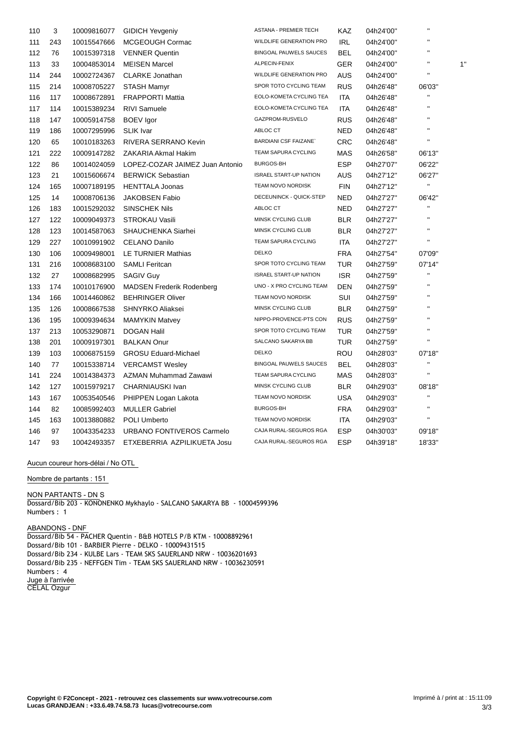| 110 | 3   | 10009816077 | <b>GIDICH Yevgeniy</b>           | <b>ASTANA - PREMIER TECH</b>  | <b>KAZ</b> | 04h24'00" | $\mathbf{u}$   |    |
|-----|-----|-------------|----------------------------------|-------------------------------|------------|-----------|----------------|----|
| 111 | 243 | 10015547666 | MCGEOUGH Cormac                  | WILDLIFE GENERATION PRO       | <b>IRL</b> | 04h24'00" | $\blacksquare$ |    |
| 112 | 76  | 10015397318 | <b>VENNER Quentin</b>            | <b>BINGOAL PAUWELS SAUCES</b> | <b>BEL</b> | 04h24'00" | $\blacksquare$ |    |
| 113 | 33  | 10004853014 | <b>MEISEN Marcel</b>             | ALPECIN-FENIX                 | <b>GER</b> | 04h24'00" | П              | 1' |
| 114 | 244 | 10002724367 | <b>CLARKE Jonathan</b>           | WILDLIFE GENERATION PRO       | <b>AUS</b> | 04h24'00" |                |    |
| 115 | 214 | 10008705227 | <b>STASH Mamyr</b>               | SPOR TOTO CYCLING TEAM        | <b>RUS</b> | 04h26'48" | 06'03"         |    |
| 116 | 117 | 10008672891 | <b>FRAPPORTI Mattia</b>          | EOLO-KOMETA CYCLING TEA       | <b>ITA</b> | 04h26'48" | Ħ              |    |
| 117 | 114 | 10015389234 | <b>RIVI Samuele</b>              | EOLO-KOMETA CYCLING TEA       | <b>ITA</b> | 04h26'48" | П              |    |
| 118 | 147 | 10005914758 | <b>BOEV</b> Igor                 | GAZPROM-RUSVELO               | <b>RUS</b> | 04h26'48" | $\blacksquare$ |    |
| 119 | 186 | 10007295996 | <b>SLIK</b> Ivar                 | ABLOC CT                      | NED        | 04h26'48" | П              |    |
| 120 | 65  | 10010183263 | RIVERA SERRANO Kevin             | <b>BARDIANI CSF FAIZANE</b>   | CRC        | 04h26'48" | $\mathbf{H}$   |    |
| 121 | 222 | 10009147282 | ZAKARIA Akmal Hakim              | TEAM SAPURA CYCLING           | MAS        | 04h26'58" | 06'13"         |    |
| 122 | 86  | 10014024059 | LOPEZ-COZAR JAIMEZ Juan Antonio  | <b>BURGOS-BH</b>              | <b>ESP</b> | 04h27'07" | 06'22"         |    |
| 123 | 21  | 10015606674 | <b>BERWICK Sebastian</b>         | <b>ISRAEL START-UP NATION</b> | AUS        | 04h27'12" | 06'27"         |    |
| 124 | 165 | 10007189195 | <b>HENTTALA Joonas</b>           | TEAM NOVO NORDISK             | <b>FIN</b> | 04h27'12" | $\mathbf{H}$   |    |
| 125 | 14  | 10008706136 | <b>JAKOBSEN Fabio</b>            | DECEUNINCK - QUICK-STEP       | <b>NED</b> | 04h27'27" | 06'42"         |    |
| 126 | 183 | 10015292032 | <b>SINSCHEK Nils</b>             | ABLOC CT                      | NED        | 04h27'27" | $\mathbf{H}$   |    |
| 127 | 122 | 10009049373 | <b>STROKAU Vasili</b>            | MINSK CYCLING CLUB            | <b>BLR</b> | 04h27'27" | $\mathbf{H}$   |    |
| 128 | 123 | 10014587063 | SHAUCHENKA Siarhei               | MINSK CYCLING CLUB            | <b>BLR</b> | 04h27'27" | $\mathbf{H}$   |    |
| 129 | 227 | 10010991902 | <b>CELANO Danilo</b>             | TEAM SAPURA CYCLING           | <b>ITA</b> | 04h27'27" | $\mathbf{u}$   |    |
| 130 | 106 | 10009498001 | LE TURNIER Mathias               | <b>DELKO</b>                  | <b>FRA</b> | 04h27'54" | 07'09"         |    |
| 131 | 216 | 10008683100 | <b>SAMLI Feritcan</b>            | SPOR TOTO CYCLING TEAM        | <b>TUR</b> | 04h27'59" | 07'14"         |    |
| 132 | 27  | 10008682995 | <b>SAGIV Guy</b>                 | <b>ISRAEL START-UP NATION</b> | <b>ISR</b> | 04h27'59" | $\mathbf{H}$   |    |
| 133 | 174 | 10010176900 | <b>MADSEN Frederik Rodenberg</b> | UNO - X PRO CYCLING TEAM      | <b>DEN</b> | 04h27'59" | $\mathbf{u}$   |    |
| 134 | 166 | 10014460862 | <b>BEHRINGER Oliver</b>          | TEAM NOVO NORDISK             | SUI        | 04h27'59" | $\mathbf{H}$   |    |
| 135 | 126 | 10008667538 | SHNYRKO Aliaksei                 | MINSK CYCLING CLUB            | <b>BLR</b> | 04h27'59" | $\mathbf{H}$   |    |
| 136 | 195 | 10009394634 | <b>MAMYKIN Matvey</b>            | NIPPO-PROVENCE-PTS CON        | <b>RUS</b> | 04h27'59" | $\mathbf{H}$   |    |
| 137 | 213 | 10053290871 | <b>DOGAN Halil</b>               | SPOR TOTO CYCLING TEAM        | <b>TUR</b> | 04h27'59" | $\mathbf{H}$   |    |
| 138 | 201 | 10009197301 | <b>BALKAN Onur</b>               | SALCANO SAKARYA BB            | <b>TUR</b> | 04h27'59" | $\mathbf{H}$   |    |
| 139 | 103 | 10006875159 | <b>GROSU Eduard-Michael</b>      | <b>DELKO</b>                  | ROU        | 04h28'03" | 07'18"         |    |
| 140 | 77  | 10015338714 | <b>VERCAMST Wesley</b>           | <b>BINGOAL PAUWELS SAUCES</b> | <b>BEL</b> | 04h28'03" | Ħ              |    |
| 141 | 224 | 10014384373 | AZMAN Muhammad Zawawi            | TEAM SAPURA CYCLING           | MAS        | 04h28'03" | $\mathbf{H}$   |    |
| 142 | 127 | 10015979217 | CHARNIAUSKI Ivan                 | MINSK CYCLING CLUB            | <b>BLR</b> | 04h29'03" | 08'18"         |    |
| 143 | 167 | 10053540546 | PHIPPEN Logan Lakota             | TEAM NOVO NORDISK             | USA        | 04h29'03" | $\mathbf{H}$   |    |
| 144 | 82  | 10085992403 | <b>MULLER Gabriel</b>            | <b>BURGOS-BH</b>              | <b>FRA</b> | 04h29'03" | $\mathbf{H}$   |    |
| 145 | 163 | 10013880882 | <b>POLI Umberto</b>              | TEAM NOVO NORDISK             | <b>ITA</b> | 04h29'03" | $\mathbf{H}$   |    |
| 146 | 97  | 10043354233 | URBANO FONTIVEROS Carmelo        | CAJA RURAL-SEGUROS RGA        | <b>ESP</b> | 04h30'03" | 09'18"         |    |
| 147 | 93  | 10042493357 | ETXEBERRIA AZPILIKUETA Josu      | CAJA RURAL-SEGUROS RGA        | <b>ESP</b> | 04h39'18" | 18'33"         |    |
|     |     |             |                                  |                               |            |           |                |    |

## **Aucun coureur hors-délai / No OTL**

### **Nombre de partants : 151**

#### **NON PARTANTS - DN** S

Dossard/Bib 203 - KONONENKO Mykhaylo - SALCANO SAKARYA BB - 10004599396 Numbers : 1

## **ABANDONS - DNF**

Dossard/Bib 54 - PACHER Quentin - B&B HOTELS P/B KTM - 10008892961 Dossard/Bib 101 - BARBIER Pierre - DELKO - 10009431515 Dossard/Bib 234 - KULBE Lars - TEAM SKS SAUERLAND NRW - 10036201693 Dossard/Bib 235 - NEFFGEN Tim - TEAM SKS SAUERLAND NRW - 10036230591 Numbers : 4 **Juge à l'arrivée** CELAL Ozgur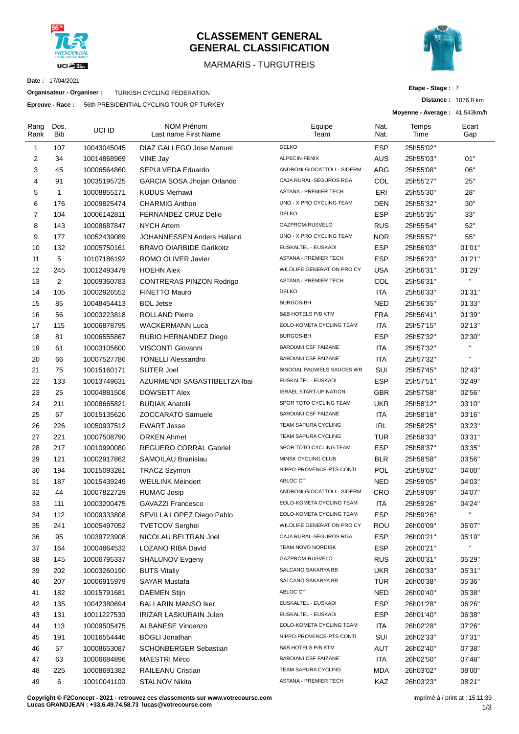

# **CLASSEMENT GENERAL GENERAL CLASSIFICATION**

# MARMARIS - TURGUTREIS



**Distance :** 1076.8 km

**Etape - Stage :** 7

**Date :** 17/04/2021

**Organisateur - Organiser :** TURKISH CYCLING FEDERATION

**Epreuve - Race :** 56th PRESIDENTIAL CYCLING TOUR OF TURKEY

|                |                    |             |                                           |                               |              | Moyenne - Average: 41.543km/h |              |
|----------------|--------------------|-------------|-------------------------------------------|-------------------------------|--------------|-------------------------------|--------------|
| Rang<br>Rank   | Dos.<br><b>Bib</b> | UCI ID      | <b>NOM Prénom</b><br>Last name First Name | Equipe<br>Team                | Nat.<br>Nat. | Temps<br>Time                 | Ecart<br>Gap |
| $\mathbf{1}$   | 107                | 10043045045 | DIAZ GALLEGO Jose Manuel                  | <b>DELKO</b>                  | <b>ESP</b>   | 25h55'02"                     |              |
| $\overline{2}$ | 34                 | 10014868969 | VINE Jay                                  | ALPECIN-FENIX                 | AUS          | 25h55'03"                     | 01"          |
| 3              | 45                 | 10006564860 | SEPULVEDA Eduardo                         | ANDRONI GIOCATTOLI - SIDERM   | ARG          | 25h55'08"                     | 06"          |
| $\overline{4}$ | 91                 | 10035195725 | GARCIA SOSA Jhojan Orlando                | CAJA RURAL-SEGUROS RGA        | COL          | 25h55'27"                     | 25"          |
| 5              | $\mathbf{1}$       | 10008855171 | <b>KUDUS Merhawi</b>                      | ASTANA - PREMIER TECH         | ERI          | 25h55'30"                     | 28"          |
| 6              | 176                | 10009825474 | <b>CHARMIG Anthon</b>                     | UNO - X PRO CYCLING TEAM      | DEN          | 25h55'32"                     | 30"          |
| $\overline{7}$ | 104                | 10006142811 | FERNANDEZ CRUZ Delio                      | <b>DELKO</b>                  | <b>ESP</b>   | 25h55'35"                     | 33"          |
| 8              | 143                | 10008687847 | <b>NYCH Artem</b>                         | GAZPROM-RUSVELO               | <b>RUS</b>   | 25h55'54"                     | 52"          |
| 9              | 177                | 10052439089 | JOHANNESSEN Anders Halland                | UNO - X PRO CYCLING TEAM      | <b>NOR</b>   | 25h55'57"                     | 55"          |
| 10             | 132                | 10005750161 | <b>BRAVO OIARBIDE Garikoitz</b>           | EUSKALTEL - EUSKADI           | <b>ESP</b>   | 25h56'03"                     | 01'01"       |
| 11             | 5                  | 10107186192 | ROMO OLIVER Javier                        | ASTANA - PREMIER TECH         | <b>ESP</b>   | 25h56'23"                     | 01'21"       |
| 12             | 245                | 10012493479 | <b>HOEHN Alex</b>                         | WILDLIFE GENERATION PRO CY    | USA          | 25h56'31"                     | 01'29"       |
| 13             | $\overline{2}$     | 10009360783 | <b>CONTRERAS PINZON Rodrigo</b>           | <b>ASTANA - PREMIER TECH</b>  | COL          | 25h56'31"                     | $\mathbf{H}$ |
| 14             | 105                | 10002926552 | <b>FINETTO Mauro</b>                      | <b>DELKO</b>                  | ITA          | 25h56'33"                     | 01'31"       |
| 15             | 85                 | 10048454413 | <b>BOL Jetse</b>                          | <b>BURGOS-BH</b>              | NED          | 25h56'35"                     | 01'33"       |
| 16             | 56                 | 10003223818 | <b>ROLLAND Pierre</b>                     | <b>B&amp;B HOTELS P/B KTM</b> | <b>FRA</b>   | 25h56'41"                     | 01'39"       |
| 17             | 115                | 10006878795 | <b>WACKERMANN Luca</b>                    | EOLO-KOMETA CYCLING TEAM      | ITA          | 25h57'15"                     | 02'13"       |
| 18             | 81                 | 10006555867 | RUBIO HERNANDEZ Diego                     | <b>BURGOS-BH</b>              | <b>ESP</b>   | 25h57'32"                     | 02'30"       |
| 19             | 61                 | 10003105600 | VISCONTI Giovanni                         | <b>BARDIANI CSF FAIZANE`</b>  | ITA          | 25h57'32"                     | $\mathbf{H}$ |
| 20             | 66                 | 10007527786 | <b>TONELLI Alessandro</b>                 | <b>BARDIANI CSF FAIZANE</b>   | <b>ITA</b>   | 25h57'32"                     | $\mathbf{H}$ |
| 21             | 75                 | 10015160171 | <b>SUTER Joel</b>                         | BINGOAL PAUWELS SAUCES WB     | SUI          | 25h57'45"                     | 02'43"       |
| 22             | 133                | 10013749631 | AZURMENDI SAGASTIBELTZA Ibai              | EUSKALTEL - EUSKADI           | <b>ESP</b>   | 25h57'51"                     | 02'49"       |
| 23             | 25                 | 10004881508 | <b>DOWSETT Alex</b>                       | <b>ISRAEL START-UP NATION</b> | <b>GBR</b>   | 25h57'58"                     | 02'56"       |
| 24             | 211                | 10008665821 | <b>BUDIAK Anatolii</b>                    | SPOR TOTO CYCLING TEAM        | <b>UKR</b>   | 25h58'12"                     | 03'10"       |
| 25             | 67                 | 10015135620 | <b>ZOCCARATO Samuele</b>                  | <b>BARDIANI CSF FAIZANE</b>   | ITA          | 25h58'18"                     | 03'16"       |
| 26             | 226                | 10050937512 | <b>EWART Jesse</b>                        | TEAM SAPURA CYCLING           | <b>IRL</b>   | 25h58'25"                     | 03'23"       |
| 27             | 221                | 10007508790 | <b>ORKEN Ahmet</b>                        | TEAM SAPURA CYCLING           | TUR          | 25h58'33"                     | 03'31"       |
| 28             | 217                | 10010990080 | <b>REGUERO CORRAL Gabriel</b>             | SPOR TOTO CYCLING TEAM        | <b>ESP</b>   | 25h58'37"                     | 03'35"       |
| 29             | 121                | 10002917862 | SAMOILAU Branislau                        | MINSK CYCLING CLUB            | <b>BLR</b>   | 25h58'58"                     | 03'56"       |
| 30             | 194                | 10015093281 | <b>TRACZ Szymon</b>                       | NIPPO-PROVENCE-PTS CONTI      | <b>POL</b>   | 25h59'02"                     | 04'00"       |
| 31             | 187                | 10015439249 | <b>WEULINK Meindert</b>                   | ABLOC CT                      | <b>NED</b>   | 25h59'05''                    | 04'03"       |
| 32             | 44                 | 10007822729 | <b>RUMAC Josip</b>                        | ANDRONI GIOCATTOLI - SIDERM   | CRO          | 25h59'09"                     | 04'07"       |
| 33             | 111                | 10003200475 | <b>GAVAZZI Francesco</b>                  | EOLO-KOMETA CYCLING TEAM      | ITA          | 25h59'26"                     | 04'24"       |
| 34             | 112                | 10009333808 | SEVILLA LOPEZ Diego Pablo                 | EOLO-KOMETA CYCLING TEAM      | <b>ESP</b>   | 25h59'26"                     | $\mathbf{H}$ |
| 35             | 241                | 10005497052 | <b>TVETCOV Serghei</b>                    | WILDLIFE GENERATION PRO CY    | ROU          | 26h00'09"                     | 05'07"       |
| 36             | 95                 | 10039723908 | NICOLAU BELTRAN Joel                      | CAJA RURAL-SEGUROS RGA        | <b>ESP</b>   | 26h00'21"                     | 05'19"       |
| 37             | 164                | 10004864532 | LOZANO RIBA David                         | TEAM NOVO NORDISK             | <b>ESP</b>   | 26h00'21"                     | $\mathbf{u}$ |
| 38             | 145                | 10006795337 | <b>SHALUNOV Evgeny</b>                    | GAZPROM-RUSVELO               | <b>RUS</b>   | 26h00'31"                     | 05'29"       |
| 39             | 202                | 10003260190 | <b>BUTS Vitaliy</b>                       | SALCANO SAKARYA BB            | <b>UKR</b>   | 26h00'33"                     | 05'31"       |
| 40             | 207                | 10006915979 | <b>SAYAR Mustafa</b>                      | SALCANO SAKARYA BB            | <b>TUR</b>   | 26h00'38"                     | 05'36"       |
| 41             | 182                | 10015791681 | <b>DAEMEN Stijn</b>                       | ABLOC CT                      | NED          | 26h00'40"                     | 05'38"       |
| 42             | 135                | 10042380694 | <b>BALLARIN MANSO Iker</b>                | EUSKALTEL - EUSKADI           | <b>ESP</b>   | 26h01'28"                     | 06'26"       |
| 43             | 131                | 10011227530 | <b>IRIZAR LASKURAIN Julen</b>             | EUSKALTEL - EUSKADI           | <b>ESP</b>   | 26h01'40"                     | 06'38"       |
| 44             | 113                | 10009505475 | <b>ALBANESE Vincenzo</b>                  | EOLO-KOMETA CYCLING TEAM      | <b>ITA</b>   | 26h02'28"                     | 07'26"       |
| 45             | 191                | 10016554446 | <b>BÖGLI Jonathan</b>                     | NIPPO-PROVENCE-PTS CONTI      | SUI          | 26h02'33"                     | 07'31"       |
| 46             | 57                 | 10008653087 | <b>SCHONBERGER Sebastian</b>              | B&B HOTELS P/B KTM            | AUT          | 26h02'40"                     | 07'38"       |
| 47             | 63                 | 10006684896 | <b>MAESTRI Mirco</b>                      | BARDIANI CSF FAIZANE`         | ITA          | 26h02'50"                     | 07'48"       |
| 48             | 225                | 10008691382 | RAILEANU Cristian                         | TEAM SAPURA CYCLING           | <b>MDA</b>   | 26h03'02"                     | 08'00"       |
| 49             | 6                  | 10010041100 | STALNOV Nikita                            | ASTANA - PREMIER TECH         | KAZ          | 26h03'23"                     | 08'21"       |
|                |                    |             |                                           |                               |              |                               |              |

**Copyright © F2Concept - 2021 - retrouvez ces classements sur www.votrecourse.com Lucas GRANDJEAN : +33.6.49.74.58.73 lucas@votrecourse.com**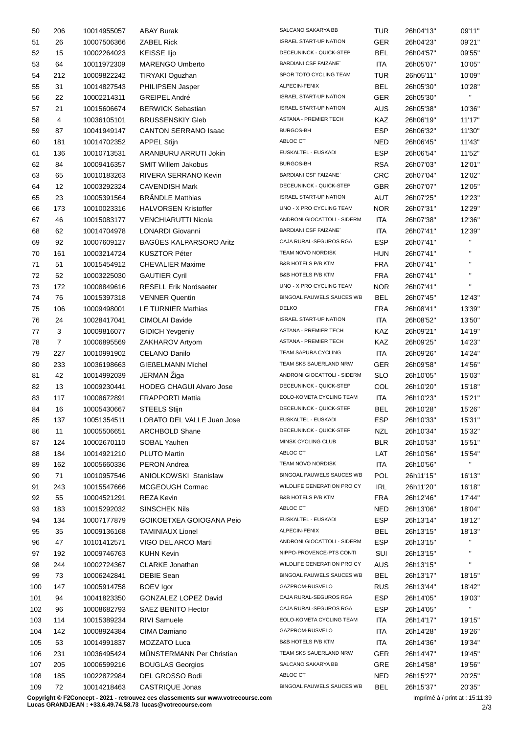| 50  | 206               | 10014955057 | <b>ABAY Burak</b>               | SALCANO SAKARYA BB             | TUR        | 26h04'13" | 09'11"       |
|-----|-------------------|-------------|---------------------------------|--------------------------------|------------|-----------|--------------|
| 51  | 26                | 10007506366 | <b>ZABEL Rick</b>               | <b>ISRAEL START-UP NATION</b>  | <b>GER</b> | 26h04'23" | 09'21"       |
| 52  | 15                | 10002264023 | <b>KEISSE Iljo</b>              | DECEUNINCK - QUICK-STEP        | <b>BEL</b> | 26h04'57" | 09'55"       |
| 53  | 64                | 10011972309 | <b>MARENGO Umberto</b>          | <b>BARDIANI CSF FAIZANE</b>    | <b>ITA</b> | 26h05'07" | 10'05"       |
| 54  | 212               | 10009822242 | <b>TIRYAKI Oguzhan</b>          | SPOR TOTO CYCLING TEAM         | TUR        | 26h05'11" | 10'09"       |
| 55  | 31                | 10014827543 | PHILIPSEN Jasper                | ALPECIN-FENIX                  | <b>BEL</b> | 26h05'30" | 10'28"       |
| 56  | 22                | 10002214311 | <b>GREIPEL André</b>            | <b>ISRAEL START-UP NATION</b>  | <b>GER</b> | 26h05'30" | $\mathbf{H}$ |
| 57  | 21                | 10015606674 | <b>BERWICK Sebastian</b>        | <b>ISRAEL START-UP NATION</b>  | <b>AUS</b> | 26h05'38" | 10'36"       |
| 58  | 4                 | 10036105101 | <b>BRUSSENSKIY Gleb</b>         | <b>ASTANA - PREMIER TECH</b>   | KAZ        | 26h06'19" | 11'17"       |
|     |                   |             |                                 | <b>BURGOS-BH</b>               |            |           |              |
| 59  | 87                | 10041949147 | <b>CANTON SERRANO Isaac</b>     |                                | ESP        | 26h06'32" | 11'30"       |
| 60  | 181               | 10014702352 | <b>APPEL Stijn</b>              | ABLOC CT                       | <b>NED</b> | 26h06'45" | 11'43"       |
| 61  | 136               | 10010713531 | ARANBURU ARRUTI Jokin           | EUSKALTEL - EUSKADI            | <b>ESP</b> | 26h06'54" | 11'52"       |
| 62  | 84                | 10009416357 | <b>SMIT Willem Jakobus</b>      | <b>BURGOS-BH</b>               | <b>RSA</b> | 26h07'03" | 12'01"       |
| 63  | 65                | 10010183263 | RIVERA SERRANO Kevin            | <b>BARDIANI CSF FAIZANE</b>    | <b>CRC</b> | 26h07'04" | 12'02"       |
| 64  | $12 \overline{ }$ | 10003292324 | <b>CAVENDISH Mark</b>           | DECEUNINCK - QUICK-STEP        | <b>GBR</b> | 26h07'07" | 12'05"       |
| 65  | 23                | 10005391564 | <b>BRÄNDLE Matthias</b>         | <b>ISRAEL START-UP NATION</b>  | <b>AUT</b> | 26h07'25" | 12'23"       |
| 66  | 173               | 10010023316 | <b>HALVORSEN Kristoffer</b>     | UNO - X PRO CYCLING TEAM       | <b>NOR</b> | 26h07'31" | 12'29"       |
| 67  | 46                | 10015083177 | <b>VENCHIARUTTI Nicola</b>      | ANDRONI GIOCATTOLI - SIDERM    | ITA        | 26h07'38" | 12'36"       |
| 68  | 62                | 10014704978 | LONARDI Giovanni                | <b>BARDIANI CSF FAIZANE</b>    | ITA        | 26h07'41" | 12'39"       |
| 69  | 92                | 10007609127 | BAGÜES KALPARSORO Aritz         | CAJA RURAL-SEGUROS RGA         | <b>ESP</b> | 26h07'41" | H.           |
| 70  | 161               | 10003214724 | <b>KUSZTOR Péter</b>            | TEAM NOVO NORDISK              | HUN        | 26h07'41" | $\mathbf{H}$ |
| 71  | 51                | 10015454912 | <b>CHEVALIER Maxime</b>         | B&B HOTELS P/B KTM             | <b>FRA</b> | 26h07'41" | $\mathbf{H}$ |
| 72  | 52                | 10003225030 | <b>GAUTIER Cyril</b>            | <b>B&amp;B HOTELS P/B KTM</b>  | FRA        | 26h07'41" | $\mathbf{H}$ |
| 73  | 172               | 10008849616 | <b>RESELL Erik Nordsaeter</b>   | UNO - X PRO CYCLING TEAM       | <b>NOR</b> | 26h07'41" | $\mathbf{H}$ |
| 74  | 76                | 10015397318 | <b>VENNER Quentin</b>           | BINGOAL PAUWELS SAUCES WB      | BEL        | 26h07'45" | 12'43"       |
|     |                   |             |                                 | <b>DELKO</b>                   |            |           |              |
| 75  | 106               | 10009498001 | LE TURNIER Mathias              |                                | <b>FRA</b> | 26h08'41" | 13'39"       |
| 76  | 24                | 10028417041 | CIMOLAI Davide                  | <b>ISRAEL START-UP NATION</b>  | ITA        | 26h08'52" | 13'50"       |
| 77  | 3                 | 10009816077 | <b>GIDICH Yevgeniy</b>          | ASTANA - PREMIER TECH          | KAZ        | 26h09'21" | 14'19"       |
| 78  | $\overline{7}$    | 10006895569 | ZAKHAROV Artyom                 | ASTANA - PREMIER TECH          | KAZ        | 26h09'25" | 14'23"       |
| 79  | 227               | 10010991902 | <b>CELANO Danilo</b>            | TEAM SAPURA CYCLING            | <b>ITA</b> | 26h09'26" | 14'24"       |
| 80  | 233               | 10036198663 | <b>GIEßELMANN Michel</b>        | TEAM SKS SAUERLAND NRW         | <b>GER</b> | 26h09'58" | 14'56"       |
| 81  | 42                | 10014992039 | JERMAN Žiga                     | ANDRONI GIOCATTOLI - SIDERM    | <b>SLO</b> | 26h10'05" | 15'03"       |
| 82  | 13                | 10009230441 | <b>HODEG CHAGUI Alvaro Jose</b> | DECEUNINCK - QUICK-STEP        | COL        | 26h10'20" | 15'18"       |
| 83  | 117               | 10008672891 | <b>FRAPPORTI Mattia</b>         | EOLO-KOMETA CYCLING TEAM       | <b>ITA</b> | 26h10'23" | 15'21"       |
| 84  | 16                | 10005430667 | <b>STEELS Stijn</b>             | <b>DECEUNINCK - QUICK-STEP</b> | BEL        | 26h10'28" | 15'26"       |
| 85  | 137               | 10051354511 | LOBATO DEL VALLE Juan Jose      | EUSKALTEL - EUSKADI            | ESP        | 26h10'33" | 15'31"       |
| 86  | 11                | 10005506651 | <b>ARCHBOLD Shane</b>           | DECEUNINCK - QUICK-STEP        | <b>NZL</b> | 26h10'34" | 15'32"       |
| 87  | 124               | 10002670110 | SOBAL Yauhen                    | MINSK CYCLING CLUB             | <b>BLR</b> | 26h10'53" | 15'51"       |
| 88  | 184               | 10014921210 | <b>PLUTO Martin</b>             | ABLOC CT                       | LAT        | 26h10'56" | 15'54"       |
| 89  | 162               | 10005660336 | PERON Andrea                    | TEAM NOVO NORDISK              | <b>ITA</b> | 26h10'56" | H.           |
| 90  | 71                | 10010957546 | ANIOLKOWSKI Stanislaw           | BINGOAL PAUWELS SAUCES WB      | POL        | 26h11'15" | 16'13"       |
| 91  | 243               | 10015547666 | MCGEOUGH Cormac                 | WILDLIFE GENERATION PRO CY     | IRL        | 26h11'20" | 16'18"       |
|     |                   |             |                                 | <b>B&amp;B HOTELS P/B KTM</b>  |            |           |              |
| 92  | 55                | 10004521291 | REZA Kevin                      | ABLOC CT                       | <b>FRA</b> | 26h12'46" | 17'44"       |
| 93  | 183               | 10015292032 | <b>SINSCHEK Nils</b>            |                                | <b>NED</b> | 26h13'06" | 18'04"       |
| 94  | 134               | 10007177879 | GOIKOETXEA GOIOGANA Peio        | EUSKALTEL - EUSKADI            | <b>ESP</b> | 26h13'14" | 18'12"       |
| 95  | 35                | 10009136168 | <b>TAMINIAUX Lionel</b>         | ALPECIN-FENIX                  | <b>BEL</b> | 26h13'15" | 18'13"       |
| 96  | 47                | 10101412571 | VIGO DEL ARCO Marti             | ANDRONI GIOCATTOLI - SIDERM    | ESP        | 26h13'15" | H.           |
| 97  | 192               | 10009746763 | <b>KUHN Kevin</b>               | NIPPO-PROVENCE-PTS CONTI       | SUI        | 26h13'15" |              |
| 98  | 244               | 10002724367 | <b>CLARKE Jonathan</b>          | WILDLIFE GENERATION PRO CY     | AUS        | 26h13'15" |              |
| 99  | 73                | 10006242841 | <b>DEBIE Sean</b>               | BINGOAL PAUWELS SAUCES WB      | BEL        | 26h13'17" | 18'15"       |
| 100 | 147               | 10005914758 | <b>BOEV Igor</b>                | GAZPROM-RUSVELO                | <b>RUS</b> | 26h13'44" | 18'42"       |
| 101 | 94                | 10041823350 | GONZALEZ LOPEZ David            | CAJA RURAL-SEGUROS RGA         | <b>ESP</b> | 26h14'05" | 19'03"       |
| 102 | 96                | 10008682793 | SAEZ BENITO Hector              | CAJA RURAL-SEGUROS RGA         | <b>ESP</b> | 26h14'05" | $\mathbf{H}$ |
| 103 | 114               | 10015389234 | <b>RIVI Samuele</b>             | EOLO-KOMETA CYCLING TEAM       | <b>ITA</b> | 26h14'17" | 19'15"       |
| 104 | 142               | 10008924384 | CIMA Damiano                    | GAZPROM-RUSVELO                | <b>ITA</b> | 26h14'28" | 19'26"       |
| 105 | 53                | 10014991837 | MOZZATO Luca                    | B&B HOTELS P/B KTM             | ITA        | 26h14'36" | 19'34"       |
|     | 231               | 10036495424 | MÜNSTERMANN Per Christian       | TEAM SKS SAUERLAND NRW         | <b>GER</b> |           | 19'45"       |
| 106 |                   |             |                                 | SALCANO SAKARYA BB             |            | 26h14'47" |              |
| 107 | 205               | 10006599216 | <b>BOUGLAS Georgios</b>         |                                | <b>GRE</b> | 26h14'58" | 19'56"       |
| 108 | 185               | 10022872984 | DEL GROSSO Bodi                 | ABLOC CT                       | <b>NED</b> | 26h15'27" | 20'25"       |
| 109 | 72                | 10014218463 | CASTRIQUE Jonas                 | BINGOAL PAUWELS SAUCES WB      | <b>BEL</b> | 26h15'37" | 20'35"       |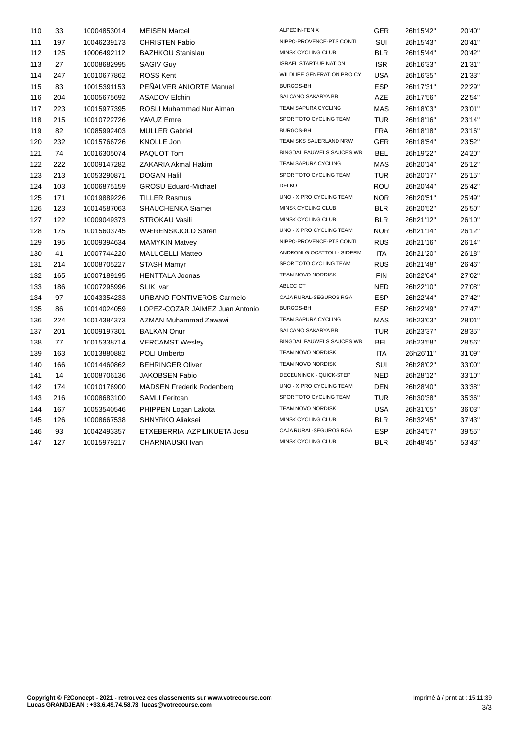| 110 | 33  | 10004853014 | <b>MEISEN Marcel</b>             | ALPECIN-FENIX                 | <b>GER</b> | 26h15'42" | 20'40" |
|-----|-----|-------------|----------------------------------|-------------------------------|------------|-----------|--------|
| 111 | 197 | 10046239173 | <b>CHRISTEN Fabio</b>            | NIPPO-PROVENCE-PTS CONTI      | SUI        | 26h15'43" | 20'41" |
| 112 | 125 | 10006492112 | <b>BAZHKOU Stanislau</b>         | MINSK CYCLING CLUB            | <b>BLR</b> | 26h15'44" | 20'42" |
| 113 | 27  | 10008682995 | <b>SAGIV Guy</b>                 | <b>ISRAEL START-UP NATION</b> | <b>ISR</b> | 26h16'33" | 21'31" |
| 114 | 247 | 10010677862 | <b>ROSS Kent</b>                 | WILDLIFE GENERATION PRO CY    | <b>USA</b> | 26h16'35" | 21'33" |
| 115 | 83  | 10015391153 | PEÑALVER ANIORTE Manuel          | BURGOS-BH                     | <b>ESP</b> | 26h17'31" | 22'29" |
| 116 | 204 | 10005675692 | <b>ASADOV Elchin</b>             | SALCANO SAKARYA BB            | <b>AZE</b> | 26h17'56" | 22'54" |
| 117 | 223 | 10015977395 | ROSLI Muhammad Nur Aiman         | TEAM SAPURA CYCLING           | <b>MAS</b> | 26h18'03" | 23'01" |
| 118 | 215 | 10010722726 | YAVUZ Emre                       | SPOR TOTO CYCLING TEAM        | <b>TUR</b> | 26h18'16" | 23'14" |
| 119 | 82  | 10085992403 | <b>MULLER Gabriel</b>            | <b>BURGOS-BH</b>              | <b>FRA</b> | 26h18'18" | 23'16" |
| 120 | 232 | 10015766726 | <b>KNOLLE Jon</b>                | TEAM SKS SAUERLAND NRW        | <b>GER</b> | 26h18'54" | 23'52" |
| 121 | 74  | 10016305074 | PAQUOT Tom                       | BINGOAL PAUWELS SAUCES WB     | <b>BEL</b> | 26h19'22" | 24'20" |
| 122 | 222 | 10009147282 | ZAKARIA Akmal Hakim              | TEAM SAPURA CYCLING           | <b>MAS</b> | 26h20'14" | 25'12" |
| 123 | 213 | 10053290871 | <b>DOGAN Halil</b>               | SPOR TOTO CYCLING TEAM        | TUR        | 26h20'17" | 25'15" |
| 124 | 103 | 10006875159 | <b>GROSU Eduard-Michael</b>      | <b>DELKO</b>                  | ROU        | 26h20'44" | 25'42" |
| 125 | 171 | 10019889226 | <b>TILLER Rasmus</b>             | UNO - X PRO CYCLING TEAM      | <b>NOR</b> | 26h20'51" | 25'49" |
| 126 | 123 | 10014587063 | SHAUCHENKA Siarhei               | MINSK CYCLING CLUB            | <b>BLR</b> | 26h20'52" | 25'50" |
| 127 | 122 | 10009049373 | <b>STROKAU Vasili</b>            | MINSK CYCLING CLUB            | <b>BLR</b> | 26h21'12" | 26'10" |
| 128 | 175 | 10015603745 | WÆRENSKJOLD Søren                | UNO - X PRO CYCLING TEAM      | NOR.       | 26h21'14" | 26'12" |
| 129 | 195 | 10009394634 | <b>MAMYKIN Matvey</b>            | NIPPO-PROVENCE-PTS CONTI      | <b>RUS</b> | 26h21'16" | 26'14" |
| 130 | 41  | 10007744220 | <b>MALUCELLI Matteo</b>          | ANDRONI GIOCATTOLI - SIDERM   | ITA        | 26h21'20" | 26'18" |
| 131 | 214 | 10008705227 | <b>STASH Mamyr</b>               | SPOR TOTO CYCLING TEAM        | <b>RUS</b> | 26h21'48" | 26'46" |
| 132 | 165 | 10007189195 | <b>HENTTALA Joonas</b>           | TEAM NOVO NORDISK             | <b>FIN</b> | 26h22'04" | 27'02" |
| 133 | 186 | 10007295996 | <b>SLIK Ivar</b>                 | ABLOC CT                      | <b>NED</b> | 26h22'10" | 27'08" |
| 134 | 97  | 10043354233 | URBANO FONTIVEROS Carmelo        | CAJA RURAL-SEGUROS RGA        | <b>ESP</b> | 26h22'44" | 27'42" |
| 135 | 86  | 10014024059 | LOPEZ-COZAR JAIMEZ Juan Antonio  | <b>BURGOS-BH</b>              | <b>ESP</b> | 26h22'49" | 27'47" |
| 136 | 224 | 10014384373 | AZMAN Muhammad Zawawi            | TEAM SAPURA CYCLING           | <b>MAS</b> | 26h23'03" | 28'01" |
| 137 | 201 | 10009197301 | <b>BALKAN Onur</b>               | SALCANO SAKARYA BB            | <b>TUR</b> | 26h23'37" | 28'35" |
| 138 | 77  | 10015338714 | <b>VERCAMST Wesley</b>           | BINGOAL PAUWELS SAUCES WB     | <b>BEL</b> | 26h23'58" | 28'56" |
| 139 | 163 | 10013880882 | <b>POLI Umberto</b>              | TEAM NOVO NORDISK             | <b>ITA</b> | 26h26'11" | 31'09" |
| 140 | 166 | 10014460862 | <b>BEHRINGER Oliver</b>          | TEAM NOVO NORDISK             | SUI        | 26h28'02" | 33'00" |
| 141 | 14  | 10008706136 | <b>JAKOBSEN Fabio</b>            | DECEUNINCK - QUICK-STEP       | <b>NED</b> | 26h28'12" | 33'10" |
| 142 | 174 | 10010176900 | <b>MADSEN Frederik Rodenberg</b> | UNO - X PRO CYCLING TEAM      | <b>DEN</b> | 26h28'40" | 33'38" |
| 143 | 216 | 10008683100 | <b>SAMLI Feritcan</b>            | SPOR TOTO CYCLING TEAM        | <b>TUR</b> | 26h30'38" | 35'36" |
| 144 | 167 | 10053540546 | PHIPPEN Logan Lakota             | TEAM NOVO NORDISK             | <b>USA</b> | 26h31'05" | 36'03" |
| 145 | 126 | 10008667538 | SHNYRKO Aliaksei                 | MINSK CYCLING CLUB            | <b>BLR</b> | 26h32'45" | 37'43" |
| 146 | 93  | 10042493357 | ETXEBERRIA AZPILIKUETA Josu      | CAJA RURAL-SEGUROS RGA        | <b>ESP</b> | 26h34'57" | 39'55" |
| 147 | 127 | 10015979217 | CHARNIAUSKI Ivan                 | MINSK CYCLING CLUB            | <b>BLR</b> | 26h48'45" | 53'43" |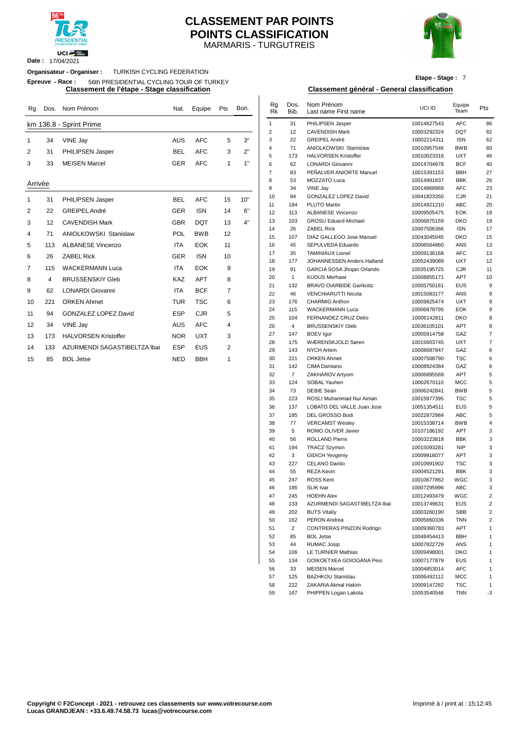

**Date :** 17/04/2021

# MARMARIS - TURGUTREIS **CLASSEMENT PAR POINTS POINTS CLASSIFICATION**



**Etape - Stage :** 7

# **Classement de l'étape - Stage classification Classement général - General classification**

| Rg             | Dos. | Nom Prénom                   | Nat.       | Equipe     | Pts            | Bon. | Rg<br><b>Rk</b> | Dos.<br>Bib. | Nom Prénom<br>Last name First name | UCI ID      | Equipe<br>Team | Pts            |
|----------------|------|------------------------------|------------|------------|----------------|------|-----------------|--------------|------------------------------------|-------------|----------------|----------------|
|                |      | km 136.8 - Sprint Prime      |            |            |                |      | $\mathbf{1}$    | 31           | PHILIPSEN Jasper                   | 10014827543 | <b>AFC</b>     | 86             |
|                |      |                              |            |            |                |      | 2               | 12           | <b>CAVENDISH Mark</b>              | 10003292324 | <b>DQT</b>     | 82             |
| 1              | 34   | VINE Jay                     | <b>AUS</b> | <b>AFC</b> | 5              | 3"   | 3               | 22           | GREIPEL André                      | 10002214311 | <b>ISN</b>     | 62             |
| 2              | 31   | PHILIPSEN Jasper             | <b>BEL</b> | <b>AFC</b> | 3              | 2"   | 4               | 71           | <b>ANIOLKOWSKI Stanislaw</b>       | 10010957546 | <b>BWB</b>     | 60             |
|                |      |                              |            |            |                |      | 5               | 173          | <b>HALVORSEN Kristoffer</b>        | 10010023316 | <b>UXT</b>     | 46             |
| 3              | 33   | <b>MEISEN Marcel</b>         | <b>GER</b> | <b>AFC</b> | 1              | 1"   | 6               | 62           | LONARDI Giovanni                   | 10014704978 | <b>BCF</b>     | 4 <sub>0</sub> |
|                |      |                              |            |            |                |      | $\overline{7}$  | 83           | PEÑALVER ANIORTE Manuel            | 10015391153 | <b>BBH</b>     | 27             |
| Arrivée        |      |                              |            |            |                |      | 8               | 53           | <b>MOZZATO Luca</b>                | 10014991837 | <b>BBK</b>     | 26             |
|                |      |                              |            |            |                |      | 9               | 34           | VINE Jay                           | 10014868969 | <b>AFC</b>     | 23             |
| $\mathbf 1$    | 31   | PHILIPSEN Jasper             | <b>BEL</b> | <b>AFC</b> | 15             | 10"  | 10              | 94           | <b>GONZALEZ LOPEZ David</b>        | 10041823350 | <b>CJR</b>     | 21             |
|                |      |                              |            |            |                |      | 11              | 184          | <b>PLUTO Martin</b>                | 10014921210 | <b>ABC</b>     | 20             |
| 2              | 22   | <b>GREIPEL André</b>         | <b>GER</b> | <b>ISN</b> | 14             | 6"   | 12              | 113          | <b>ALBANESE Vincenzo</b>           | 10009505475 | <b>EOK</b>     | 19             |
| 3              | 12   | <b>CAVENDISH Mark</b>        | <b>GBR</b> | <b>DQT</b> | 13             | 4"   | 13              | 103          | <b>GROSU Eduard-Michael</b>        | 10006875159 | <b>DKO</b>     | 19             |
|                |      |                              |            |            |                |      | 14              | 26           | <b>ZABEL Rick</b>                  | 10007506366 | <b>ISN</b>     | 17             |
| 4              | 71   | <b>ANIOLKOWSKI Stanislaw</b> | POL        | <b>BWB</b> | 12             |      | 15              | 107          | DIAZ GALLEGO Jose Manuel           | 10043045045 | <b>DKO</b>     | 15             |
| 5              | 113  | <b>ALBANESE Vincenzo</b>     | <b>ITA</b> | <b>EOK</b> | 11             |      | 16              | 45           | SEPULVEDA Eduardo                  | 10006564860 | ANS            | 13             |
| 6              | 26   | <b>ZABEL Rick</b>            | <b>GER</b> | <b>ISN</b> | 10             |      | 17              | 35           | <b>TAMINIAUX Lionel</b>            | 10009136168 | <b>AFC</b>     | 13             |
|                |      |                              |            |            |                |      | 18              | 177          | JOHANNESSEN Anders Halland         | 10052439089 | <b>UXT</b>     | 12             |
| $\overline{7}$ | 115  | <b>WACKERMANN Luca</b>       | <b>ITA</b> | <b>EOK</b> | 9              |      | 19              | 91           | GARCIA SOSA Jhojan Orlando         | 10035195725 | <b>CJR</b>     | 11             |
| 8              | 4    | <b>BRUSSENSKIY Gleb</b>      | <b>KAZ</b> | <b>APT</b> | 8              |      | 20              | $\mathbf{1}$ | <b>KUDUS Merhawi</b>               | 10008855171 | <b>APT</b>     | 1 <sub>0</sub> |
|                |      |                              |            |            |                |      | 21              | 132          | <b>BRAVO OIARBIDE Garikoitz</b>    | 10005750161 | <b>EUS</b>     |                |
| 9              | 62   | <b>LONARDI Giovanni</b>      | <b>ITA</b> | <b>BCF</b> | 7              |      | 22              | 46           | <b>VENCHIARUTTI Nicola</b>         | 10015083177 | ANS            |                |
| 10             | 221  | <b>ORKEN Ahmet</b>           | <b>TUR</b> | <b>TSC</b> | 6              |      | 23              | 176          | <b>CHARMIG Anthon</b>              | 10009825474 | <b>UXT</b>     |                |
| 11             | 94   | <b>GONZALEZ LOPEZ David</b>  | <b>ESP</b> | <b>CJR</b> | 5              |      | 24              | 115          | <b>WACKERMANN Luca</b>             | 10006878795 | EOK            |                |
|                |      |                              |            |            |                |      | 25              | 104          | FERNANDEZ CRUZ Delio               | 10006142811 | <b>DKO</b>     |                |
| 12             | 34   | VINE Jay                     | <b>AUS</b> | <b>AFC</b> | 4              |      | 26              | 4            | <b>BRUSSENSKIY Gleb</b>            | 10036105101 | <b>APT</b>     |                |
| 13             | 173  | <b>HALVORSEN Kristoffer</b>  | <b>NOR</b> | <b>UXT</b> | 3              |      | 27              | 147          | <b>BOEV</b> Igor                   | 10005914758 | GAZ            |                |
|                |      |                              |            |            |                |      | 28              | 175          | WÆRENSKJOLD Søren                  | 10015603745 | <b>UXT</b>     |                |
| 14             | 133  | AZURMENDI SAGASTIBELTZA Ibai | <b>ESP</b> | <b>EUS</b> | $\overline{2}$ |      | 29              | 143          | <b>NYCH Artem</b>                  | 10008687847 | GAZ            |                |
| 15             | 85.  | AOL Jetse                    | <b>NFD</b> | <b>RRH</b> | 1              |      | 30              | 221          | <b>ORKEN Ahmet</b>                 | 10007508790 | <b>TSC</b>     |                |

**Organisateur - Organiser :** TURKISH CYCLING FEDERATION **Epreuve - Race :** 56th PRESIDENTIAL CYCLING TOUR OF TURKEY

| Rg      |                | Dos. Nom Prénom              | Nat.       | Equipe     | Pts | Bon. | Rg<br>Rk       | Dos.<br>Bib.   | Nom Prénom<br>Last name First name              | UCI ID                     | Equipe<br>Team           | Pts                          |
|---------|----------------|------------------------------|------------|------------|-----|------|----------------|----------------|-------------------------------------------------|----------------------------|--------------------------|------------------------------|
|         |                | km 136.8 - Sprint Prime      |            |            |     |      | $\mathbf{1}$   | 31             | PHILIPSEN Jasper                                | 10014827543                | <b>AFC</b>               | 86                           |
|         |                |                              |            |            |     |      | $\overline{2}$ | 12             | <b>CAVENDISH Mark</b>                           | 10003292324                | <b>DQT</b>               | 82                           |
| 1       | 34             | VINE Jay                     | AUS        | <b>AFC</b> | 5   | 3"   | 3              | 22             | <b>GREIPEL André</b>                            | 10002214311                | <b>ISN</b>               | 62                           |
| 2       | 31             | PHILIPSEN Jasper             | <b>BEL</b> | <b>AFC</b> | 3   | 2"   | 4              | 71             | ANIOLKOWSKI Stanislaw                           | 10010957546                | <b>BWB</b>               | 60                           |
|         |                |                              |            |            |     |      | $\sqrt{5}$     | 173            | <b>HALVORSEN Kristoffer</b>                     | 10010023316                | <b>UXT</b>               | 46                           |
| 3       | 33             | <b>MEISEN Marcel</b>         | <b>GER</b> | <b>AFC</b> | 1   | 1"   | 6              | 62             | LONARDI Giovanni                                | 10014704978                | <b>BCF</b>               | 40                           |
|         |                |                              |            |            |     |      | $\overline{7}$ | 83             | PEÑALVER ANIORTE Manuel                         | 10015391153                | <b>BBH</b>               | 27                           |
| Arrivée |                |                              |            |            |     |      | 8              | 53             | MOZZATO Luca                                    | 10014991837                | <b>BBK</b>               | 26                           |
|         |                |                              |            |            |     |      | 9<br>10        | 34<br>94       | VINE Jay<br>GONZALEZ LOPEZ David                | 10014868969<br>10041823350 | <b>AFC</b><br>CJR        | 23<br>21                     |
| 1       | 31             | PHILIPSEN Jasper             | <b>BEL</b> | <b>AFC</b> | 15  | 10"  | 11             | 184            | <b>PLUTO Martin</b>                             | 10014921210                | <b>ABC</b>               | 20                           |
| 2       | 22             | <b>GREIPEL André</b>         | GER        | <b>ISN</b> | 14  | 6"   | 12             | 113            | <b>ALBANESE Vincenzo</b>                        | 10009505475                | <b>EOK</b>               | 19                           |
| 3       | 12             | <b>CAVENDISH Mark</b>        | <b>GBR</b> | <b>DQT</b> | 13  | 4"   | 13             | 103            | <b>GROSU Eduard-Michael</b>                     | 10006875159                | <b>DKO</b>               | 19                           |
| 4       | 71             | ANIOLKOWSKI Stanislaw        | POL        | <b>BWB</b> | 12  |      | 14             | 26             | <b>ZABEL Rick</b>                               | 10007506366                | <b>ISN</b>               | 17                           |
|         |                |                              |            |            |     |      | 15             | 107            | DIAZ GALLEGO Jose Manuel                        | 10043045045                | <b>DKO</b>               | 15                           |
| 5       | 113            | <b>ALBANESE Vincenzo</b>     | ITA        | <b>EOK</b> | 11  |      | 16<br>17       | 45<br>35       | SEPULVEDA Eduardo<br><b>TAMINIAUX Lionel</b>    | 10006564860<br>10009136168 | ANS<br><b>AFC</b>        | 13<br>13                     |
| 6       | 26             | <b>ZABEL Rick</b>            | GER        | <b>ISN</b> | 10  |      | 18             | 177            | JOHANNESSEN Anders Halland                      | 10052439089                | <b>UXT</b>               | 12                           |
| 7       | 115            | <b>WACKERMANN Luca</b>       | ITA        | <b>EOK</b> | 9   |      | 19             | 91             | GARCIA SOSA Jhojan Orlando                      | 10035195725                | <b>CJR</b>               | 11                           |
| 8       | $\overline{4}$ | <b>BRUSSENSKIY Gleb</b>      | KAZ        | <b>APT</b> | 8   |      | 20             | $\mathbf{1}$   | <b>KUDUS Merhawi</b>                            | 10008855171                | APT                      | 10                           |
|         |                |                              |            |            |     |      | 21             | 132            | <b>BRAVO OIARBIDE Garikoitz</b>                 | 10005750161                | <b>EUS</b>               | 9                            |
| 9       | 62             | LONARDI Giovanni             | ITA        | <b>BCF</b> | 7   |      | 22             | 46             | VENCHIARUTTI Nicola                             | 10015083177                | ANS                      | 9                            |
| 10      | 221            | <b>ORKEN Ahmet</b>           | TUR        | TSC        | 6   |      | 23             | 176            | <b>CHARMIG Anthon</b>                           | 10009825474                | <b>UXT</b>               | 9                            |
| 11      | 94             | <b>GONZALEZ LOPEZ David</b>  | <b>ESP</b> | <b>CJR</b> | 5   |      | 24             | 115            | <b>WACKERMANN Luca</b>                          | 10006878795                | <b>EOK</b>               | 9                            |
|         |                |                              |            |            |     |      | 25             | 104            | FERNANDEZ CRUZ Delio                            | 10006142811                | <b>DKO</b>               | 8                            |
| 12      | 34             | VINE Jay                     | AUS        | <b>AFC</b> | 4   |      | 26             | 4              | <b>BRUSSENSKIY Gleb</b>                         | 10036105101                | <b>APT</b>               | 8                            |
| 13      | 173            | <b>HALVORSEN Kristoffer</b>  | <b>NOR</b> | <b>UXT</b> | 3   |      | 27             | 147            | <b>BOEV</b> Igor                                | 10005914758                | GAZ                      | 7                            |
| 14      | 133            | AZURMENDI SAGASTIBELTZA Ibai | <b>ESP</b> | <b>EUS</b> | 2   |      | 28             | 175            | WÆRENSKJOLD Søren                               | 10015603745                | <b>UXT</b>               | $\overline{\mathcal{I}}$     |
|         |                |                              |            |            |     |      | 29<br>30       | 143<br>221     | <b>NYCH Artem</b><br><b>ORKEN Ahmet</b>         | 10008687847<br>10007508790 | GAZ<br><b>TSC</b>        | 6<br>6                       |
| 15      | 85             | <b>BOL Jetse</b>             | <b>NED</b> | <b>BBH</b> | 1   |      | 31             | 142            | CIMA Damiano                                    | 10008924384                | GAZ                      | 6                            |
|         |                |                              |            |            |     |      | 32             | $\overline{7}$ | ZAKHAROV Artyom                                 | 10006895569                | <b>APT</b>               | 5                            |
|         |                |                              |            |            |     |      | 33             | 124            | <b>SOBAL Yauhen</b>                             | 10002670110                | <b>MCC</b>               | 5                            |
|         |                |                              |            |            |     |      | 34             | 73             | <b>DEBIE Sean</b>                               | 10006242841                | <b>BWB</b>               | 5                            |
|         |                |                              |            |            |     |      | 35             | 223            | ROSLI Muhammad Nur Aiman                        | 10015977395                | <b>TSC</b>               | 5                            |
|         |                |                              |            |            |     |      | 36             | 137            | LOBATO DEL VALLE Juan Jose                      | 10051354511                | <b>EUS</b>               | 5                            |
|         |                |                              |            |            |     |      | 37             | 185            | DEL GROSSO Bodi                                 | 10022872984                | <b>ABC</b>               | 5                            |
|         |                |                              |            |            |     |      | 38             | 77             | <b>VERCAMST Wesley</b>                          | 10015338714                | <b>BWB</b>               | 4                            |
|         |                |                              |            |            |     |      | 39             | $\sqrt{5}$     | ROMO OLIVER Javier                              | 10107186192                | APT                      | 3                            |
|         |                |                              |            |            |     |      | 40             | 56             | <b>ROLLAND Pierre</b>                           | 10003223818                | <b>BBK</b>               | 3                            |
|         |                |                              |            |            |     |      | 41             | 194            | <b>TRACZ Szymon</b>                             | 10015093281                | <b>NIP</b>               | 3                            |
|         |                |                              |            |            |     |      | 42<br>43       | 3<br>227       | <b>GIDICH Yevgeniy</b><br>CELANO Danilo         | 10009816077<br>10010991902 | <b>APT</b><br><b>TSC</b> | 3<br>3                       |
|         |                |                              |            |            |     |      | 44             | 55             | <b>REZA Kevin</b>                               | 10004521291                | <b>BBK</b>               | 3                            |
|         |                |                              |            |            |     |      | 45             | 247            | <b>ROSS Kent</b>                                | 10010677862                | WGC                      | 3                            |
|         |                |                              |            |            |     |      | 46             | 186            | <b>SLIK Ivar</b>                                | 10007295996                | <b>ABC</b>               | 3                            |
|         |                |                              |            |            |     |      | 47             | 245            | <b>HOEHN Alex</b>                               | 10012493479                | WGC                      | 2                            |
|         |                |                              |            |            |     |      | 48             | 133            | AZURMENDI SAGASTIBELTZA Ibai                    | 10013749631                | <b>EUS</b>               | $\overline{\mathbf{c}}$      |
|         |                |                              |            |            |     |      | 49             | 202            | <b>BUTS Vitaliy</b>                             | 10003260190                | <b>SBB</b>               | $\overline{\mathbf{c}}$      |
|         |                |                              |            |            |     |      | 50             | 162            | PERON Andrea                                    | 10005660336                | <b>TNN</b>               | $\overline{\mathbf{c}}$      |
|         |                |                              |            |            |     |      | 51             | $\overline{2}$ | CONTRERAS PINZON Rodrigo                        | 10009360783                | APT                      | $\mathbf{1}$                 |
|         |                |                              |            |            |     |      | 52             | 85             | <b>BOL Jetse</b>                                | 10048454413                | <b>BBH</b>               | $\mathbf{1}$                 |
|         |                |                              |            |            |     |      | 53             | 44             | <b>RUMAC Josip</b>                              | 10007822729                | ANS                      | 1                            |
|         |                |                              |            |            |     |      | 54             | 106            | LE TURNIER Mathias                              | 10009498001                | <b>DKO</b>               | $\mathbf{1}$                 |
|         |                |                              |            |            |     |      | 55             | 134            | GOIKOETXEA GOIOGANA Peio                        | 10007177879                | EUS                      | 1                            |
|         |                |                              |            |            |     |      | 56             | 33             | <b>MEISEN Marcel</b>                            | 10004853014                | <b>AFC</b>               | $\mathbf{1}$                 |
|         |                |                              |            |            |     |      | 57<br>58       | 125<br>222     | <b>BAZHKOU Stanislau</b><br>ZAKARIA Akmal Hakim | 10006492112<br>10009147282 | <b>MCC</b><br><b>TSC</b> | $\mathbf{1}$<br>$\mathbf{1}$ |
|         |                |                              |            |            |     |      | 59             | 167            | PHIPPEN Logan Lakota                            | 10053540546                | <b>TNN</b>               | -3                           |
|         |                |                              |            |            |     |      |                |                |                                                 |                            |                          |                              |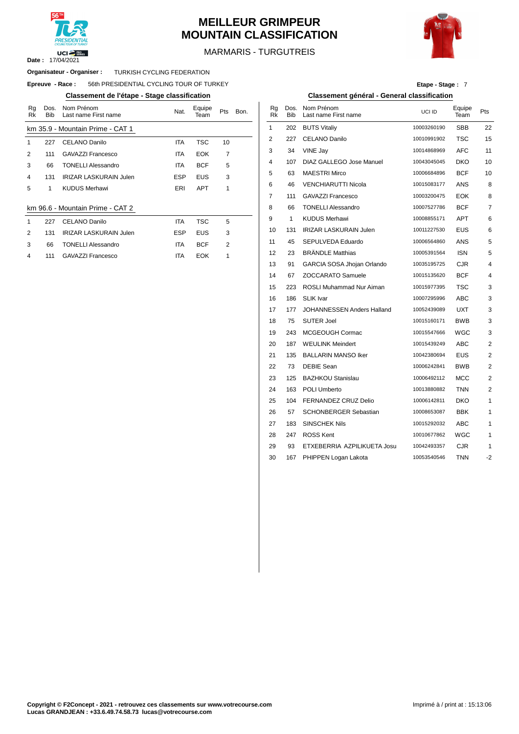

# **MEILLEUR GRIMPEUR MOUNTAIN CLASSIFICATION**



MARMARIS - TURGUTREIS

### **Organisateur - Organiser : TURKISH CYCLING FEDERATION**

 $E$ preuve  $-$  **Race** : 56th PRESIDENTIAL CYCLING TOUR OF TURKEY

#### **Classement de l'étape - Stage classification Classement général - General classification**

| Rq<br>Rk | Dos.<br><b>Bib</b> | Nom Prénom<br>Last name First name | Nat.       | Equipe<br>Team | Pts            | Bon. | Rg<br><b>Rk</b> | Dos<br><b>Bib</b> |
|----------|--------------------|------------------------------------|------------|----------------|----------------|------|-----------------|-------------------|
|          |                    | km 35.9 - Mountain Prime - CAT 1   |            |                |                |      | 1               | 202               |
| 1        | 227                | CELANO Danilo                      | <b>ITA</b> | TSC            | 10             |      | $\overline{2}$  | 227               |
| 2        | 111                | <b>GAVAZZI Francesco</b>           | <b>ITA</b> | <b>EOK</b>     | $\overline{7}$ |      | 3               | 34                |
| 3        | 66                 | <b>TONELLI Alessandro</b>          | <b>ITA</b> | <b>BCF</b>     | 5              |      | 4               | 107               |
| 4        | 131                | <b>IRIZAR LASKURAIN Julen</b>      | <b>ESP</b> | <b>EUS</b>     | 3              |      | 5               | 63                |
| 5        | 1                  | <b>KUDUS Merhawi</b>               | ERI        | <b>APT</b>     | 1              |      | 6               | 46                |
|          |                    |                                    |            |                |                |      | $\overline{7}$  | 111               |
|          |                    | km 96.6 - Mountain Prime - CAT 2   |            |                |                |      | 8               | 66                |
| 1        | 227                | <b>CELANO Danilo</b>               | <b>ITA</b> | TSC            | 5              |      | 9               | 1                 |
| 2        | 131                | <b>IRIZAR LASKURAIN Julen</b>      | <b>ESP</b> | <b>EUS</b>     | 3              |      | 10              | 131               |
| 3        | 66                 | <b>TONELLI Alessandro</b>          | <b>ITA</b> | <b>BCF</b>     | 2              |      | 11              | 45                |
| 4        | 111                | <b>GAVAZZI Francesco</b>           | <b>ITA</b> | <b>EOK</b>     | 1              |      | 12              | 23                |

| Etape - Stage: 7 |  |  |
|------------------|--|--|
|------------------|--|--|

|      |          |                                             | $\frac{1}{2}$ |                |     |
|------|----------|---------------------------------------------|---------------|----------------|-----|
| Bon. | Ra<br>Rk | Dos. Nom Prénom<br>Bib Last name First name | UCLID         | Equipe<br>Team | Pts |
|      |          | 202 BUTS Vitaliy                            | 10003260190   | <b>SBB</b>     |     |

| lountain Prime - CAT 1        |            |            |    | 1  | 202          | <b>BUTS Vitaliy</b>           | 10003260190 | SBB        | 22                      |
|-------------------------------|------------|------------|----|----|--------------|-------------------------------|-------------|------------|-------------------------|
| <b>CELANO Danilo</b>          | <b>ITA</b> | <b>TSC</b> | 10 | 2  | 227          | <b>CELANO Danilo</b>          | 10010991902 | TSC        | 15                      |
| GAVAZZI Francesco             | <b>ITA</b> | <b>EOK</b> | 7  | 3  | 34           | VINE Jay                      | 10014868969 | <b>AFC</b> | 11                      |
| <b>TONELLI Alessandro</b>     | <b>ITA</b> | <b>BCF</b> | 5  | 4  | 107          | DIAZ GALLEGO Jose Manuel      | 10043045045 | DKO        | 10                      |
| <b>IRIZAR LASKURAIN Julen</b> | <b>ESP</b> | <b>EUS</b> | 3  | 5  | 63           | <b>MAESTRI Mirco</b>          | 10006684896 | <b>BCF</b> | 10                      |
| KUDUS Merhawi                 | ERI        | <b>APT</b> | 1  | 6  | 46           | <b>VENCHIARUTTI Nicola</b>    | 10015083177 | ANS        | 8                       |
|                               |            |            |    | 7  | 111          | GAVAZZI Francesco             | 10003200475 | <b>EOK</b> | 8                       |
| lountain Prime - CAT 2        |            |            |    | 8  | 66           | <b>TONELLI Alessandro</b>     | 10007527786 | <b>BCF</b> | $\overline{7}$          |
| CELANO Danilo                 | ITA        | <b>TSC</b> | 5  | 9  | $\mathbf{1}$ | <b>KUDUS Merhawi</b>          | 10008855171 | APT        | 6                       |
| <b>IRIZAR LASKURAIN Julen</b> | <b>ESP</b> | <b>EUS</b> | 3  | 10 | 131          | <b>IRIZAR LASKURAIN Julen</b> | 10011227530 | <b>EUS</b> | 6                       |
| <b>TONELLI Alessandro</b>     | ITA        | <b>BCF</b> | 2  | 11 | 45           | SEPULVEDA Eduardo             | 10006564860 | ANS        | 5                       |
| GAVAZZI Francesco             | <b>ITA</b> | <b>EOK</b> | 1  | 12 | 23           | <b>BRÄNDLE Matthias</b>       | 10005391564 | <b>ISN</b> | 5                       |
|                               |            |            |    | 13 | 91           | GARCIA SOSA Jhojan Orlando    | 10035195725 | <b>CJR</b> | 4                       |
|                               |            |            |    | 14 | 67           | ZOCCARATO Samuele             | 10015135620 | <b>BCF</b> | 4                       |
|                               |            |            |    | 15 | 223          | ROSLI Muhammad Nur Aiman      | 10015977395 | TSC        | 3                       |
|                               |            |            |    | 16 | 186          | SLIK Ivar                     | 10007295996 | <b>ABC</b> | 3                       |
|                               |            |            |    | 17 | 177          | JOHANNESSEN Anders Halland    | 10052439089 | <b>UXT</b> | 3                       |
|                               |            |            |    | 18 | 75           | <b>SUTER Joel</b>             | 10015160171 | <b>BWB</b> | 3                       |
|                               |            |            |    | 19 | 243          | MCGEOUGH Cormac               | 10015547666 | WGC        | 3                       |
|                               |            |            |    | 20 | 187          | <b>WEULINK Meindert</b>       | 10015439249 | <b>ABC</b> | 2                       |
|                               |            |            |    | 21 | 135          | <b>BALLARIN MANSO Iker</b>    | 10042380694 | EUS        | $\overline{\mathbf{c}}$ |
|                               |            |            |    | 22 | 73           | <b>DEBIE Sean</b>             | 10006242841 | <b>BWB</b> | $\overline{\mathbf{c}}$ |
|                               |            |            |    | 23 | 125          | <b>BAZHKOU Stanislau</b>      | 10006492112 | MCC        | $\overline{2}$          |
|                               |            |            |    | 24 | 163          | POLI Umberto                  | 10013880882 | <b>TNN</b> | 2                       |
|                               |            |            |    | 25 | 104          | FERNANDEZ CRUZ Delio          | 10006142811 | DKO        | $\mathbf{1}$            |
|                               |            |            |    | 26 | 57           | <b>SCHONBERGER Sebastian</b>  | 10008653087 | <b>BBK</b> | $\mathbf{1}$            |
|                               |            |            |    | 27 | 183          | <b>SINSCHEK Nils</b>          | 10015292032 | ABC        | $\mathbf{1}$            |
|                               |            |            |    | 28 | 247          | <b>ROSS Kent</b>              | 10010677862 | WGC        | $\mathbf{1}$            |
|                               |            |            |    | 29 | 93           | ETXEBERRIA AZPILIKUETA Josu   | 10042493357 | <b>CJR</b> | $\mathbf{1}$            |
|                               |            |            |    | 30 | 167          | PHIPPEN Logan Lakota          | 10053540546 | <b>TNN</b> | $-2$                    |
|                               |            |            |    |    |              |                               |             |            |                         |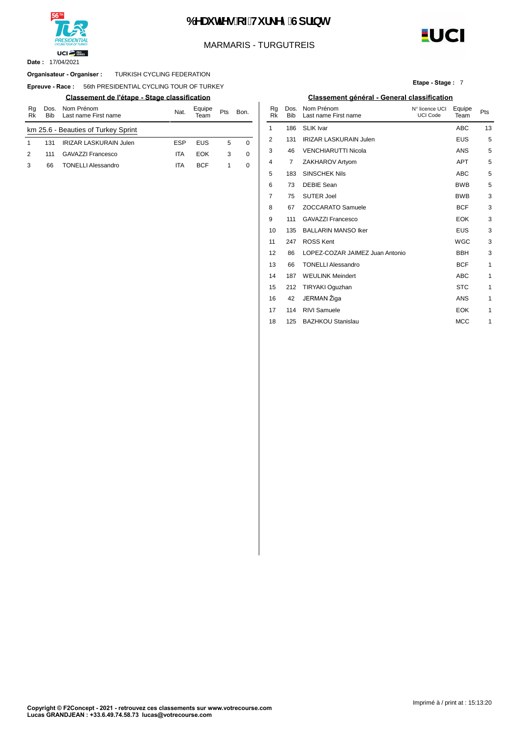

# 6 YU HYg cZHi f\_YmGdf]bh

# MARMARIS - TURGUTREIS

17/04/2021 **Date :**

#### TURKISH CYCLING FEDERATION **Organisateur - Organiser :**

**Epreuve - Race: 56th PRESIDENTIAL CYCLING TOUR OF TURKEY** 

| Rq<br>Rk | Dos.<br><b>Bib</b> | Nom Prénom<br>Last name First name  | Eauipe<br>Nat.<br>Pts<br>Bon. |            |   | Ra<br>Rk | Bib | Dos. Nom Prénom<br>Last name Fir |                    |
|----------|--------------------|-------------------------------------|-------------------------------|------------|---|----------|-----|----------------------------------|--------------------|
|          |                    | km 25.6 - Beauties of Turkey Sprint |                               |            |   |          |     | 186                              | <b>SLIK Ivar</b>   |
|          | 131                | <b>IRIZAR LASKURAIN Julen</b>       | <b>ESP</b>                    | EUS        | 5 |          |     | 131                              | <b>IRIZAR LASK</b> |
|          | 111                | <b>GAVAZZI Francesco</b>            | ita                           | EOK        | 3 | 0        | 3   | 46                               | <b>VENCHIARU</b>   |
|          | 66                 | <b>TONELLI Alessandro</b>           | ita                           | <b>BCF</b> |   |          |     |                                  | ZAKHAROV A         |
|          |                    |                                     |                               |            |   |          |     |                                  |                    |

**Etape - Stage :** 7

**EUCI** 

#### **Classement de l'étape - Stage classification Classement général - General classification**

| Nom Prénom<br>Last name First name | Nat.       | Equipe<br>Team | Pts | Bon. | Rg<br><b>Rk</b> | Dos.<br><b>Bib</b> | Nom Prénom<br>Last name First name | N° licence UCI<br><b>UCI Code</b> | Equipe<br>Team | Pts          |
|------------------------------------|------------|----------------|-----|------|-----------------|--------------------|------------------------------------|-----------------------------------|----------------|--------------|
| eauties of Turkey Sprint           |            |                |     |      | 1               | 186                | <b>SLIK Ivar</b>                   |                                   | <b>ABC</b>     | 13           |
| <b>IRIZAR LASKURAIN Julen</b>      | <b>ESP</b> | <b>EUS</b>     | 5   | 0    | 2               | 131                | <b>IRIZAR LASKURAIN Julen</b>      |                                   | <b>EUS</b>     | 5            |
| <b>GAVAZZI Francesco</b>           | <b>ITA</b> | <b>EOK</b>     | 3   | 0    | 3               | 46                 | <b>VENCHIARUTTI Nicola</b>         |                                   | ANS            | 5            |
| <b>TONELLI Alessandro</b>          | <b>ITA</b> | <b>BCF</b>     | 1   | 0    | 4               | 7                  | ZAKHAROV Artyom                    |                                   | <b>APT</b>     | 5            |
|                                    |            |                |     |      | 5               | 183                | <b>SINSCHEK Nils</b>               |                                   | <b>ABC</b>     | $\sqrt{5}$   |
|                                    |            |                |     |      | 6               | 73                 | <b>DEBIE Sean</b>                  |                                   | <b>BWB</b>     | 5            |
|                                    |            |                |     |      | 7               | 75                 | <b>SUTER Joel</b>                  |                                   | <b>BWB</b>     | 3            |
|                                    |            |                |     |      | 8               | 67                 | <b>ZOCCARATO Samuele</b>           |                                   | <b>BCF</b>     | 3            |
|                                    |            |                |     |      | 9               | 111                | <b>GAVAZZI Francesco</b>           |                                   | <b>EOK</b>     | 3            |
|                                    |            |                |     |      | 10              | 135                | <b>BALLARIN MANSO Iker</b>         |                                   | <b>EUS</b>     | 3            |
|                                    |            |                |     |      | 11              | 247                | <b>ROSS Kent</b>                   |                                   | <b>WGC</b>     | 3            |
|                                    |            |                |     |      | 12              | 86                 | LOPEZ-COZAR JAIMEZ Juan Antonio    |                                   | <b>BBH</b>     | 3            |
|                                    |            |                |     |      | 13              | 66                 | <b>TONELLI Alessandro</b>          |                                   | <b>BCF</b>     | $\mathbf{1}$ |
|                                    |            |                |     |      | 14              | 187                | <b>WEULINK Meindert</b>            |                                   | ABC            | $\mathbf{1}$ |
|                                    |            |                |     |      | 15              | 212                | TIRYAKI Oguzhan                    |                                   | <b>STC</b>     | $\mathbf{1}$ |
|                                    |            |                |     |      | 16              | 42                 | JERMAN Žiga                        |                                   | <b>ANS</b>     | 1            |
|                                    |            |                |     |      | 17              | 114                | <b>RIVI Samuele</b>                |                                   | <b>EOK</b>     | $\mathbf{1}$ |
|                                    |            |                |     |      | 18              | 125                | <b>BAZHKOU Stanislau</b>           |                                   | <b>MCC</b>     | 1            |
|                                    |            |                |     |      |                 |                    |                                    |                                   |                |              |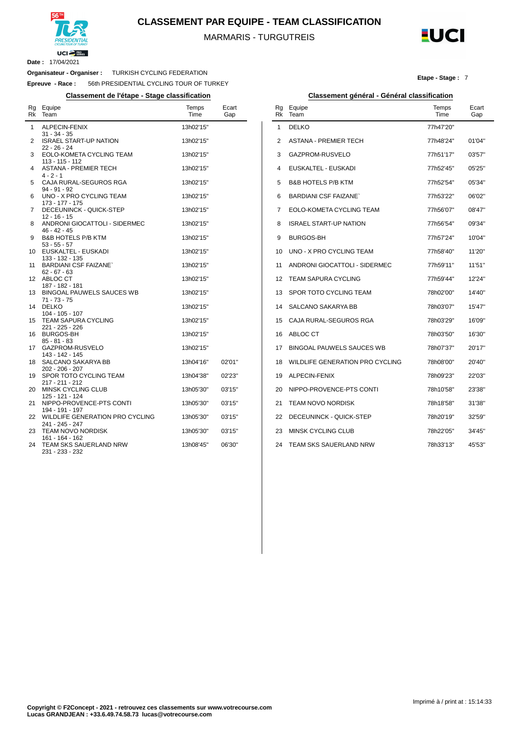

**CLASSEMENT PAR EQUIPE - TEAM CLASSIFICATION**

MARMARIS - TURGUTREIS



**Etape - Stage :** 7

**Date :** 17/04/2021

 $\overline{a}$ 

### **Organisateur - Organiser :** TURKISH CYCLING FEDERATION

**Epreuve - Race :** 56th PRESIDENTIAL CYCLING TOUR OF TURKEY

**Classement de l'étape - Stage classification Classement général - Général classification**

| Equipe<br>Team                                                      | Temps<br>Time                                                                                                                                                                                                                                                                                                                                                                          | Ecart<br>Gap                                                                                                                   |
|---------------------------------------------------------------------|----------------------------------------------------------------------------------------------------------------------------------------------------------------------------------------------------------------------------------------------------------------------------------------------------------------------------------------------------------------------------------------|--------------------------------------------------------------------------------------------------------------------------------|
| ALPECIN-FENIX                                                       | 13h02'15"                                                                                                                                                                                                                                                                                                                                                                              |                                                                                                                                |
| <b>ISRAEL START-UP NATION</b>                                       | 13h02'15"                                                                                                                                                                                                                                                                                                                                                                              |                                                                                                                                |
| EOLO-KOMETA CYCLING TEAM<br>$113 - 115 - 112$                       | 13h02'15"                                                                                                                                                                                                                                                                                                                                                                              |                                                                                                                                |
| ASTANA - PREMIER TECH<br>$4 - 2 - 1$                                | 13h02'15"                                                                                                                                                                                                                                                                                                                                                                              |                                                                                                                                |
| CAJA RURAL-SEGUROS RGA<br>$94 - 91 - 92$                            | 13h02'15"                                                                                                                                                                                                                                                                                                                                                                              |                                                                                                                                |
| 173 - 177 - 175                                                     |                                                                                                                                                                                                                                                                                                                                                                                        |                                                                                                                                |
| $12 - 16 - 15$                                                      |                                                                                                                                                                                                                                                                                                                                                                                        |                                                                                                                                |
| $46 - 42 - 45$                                                      |                                                                                                                                                                                                                                                                                                                                                                                        |                                                                                                                                |
| $53 - 55 - 57$                                                      |                                                                                                                                                                                                                                                                                                                                                                                        |                                                                                                                                |
| 133 - 132 - 135<br><b>BARDIANI CSF FAIZANE`</b>                     | 13h02'15"                                                                                                                                                                                                                                                                                                                                                                              |                                                                                                                                |
| ABLOC CT                                                            | 13h02'15"                                                                                                                                                                                                                                                                                                                                                                              |                                                                                                                                |
| <b>BINGOAL PAUWELS SAUCES WB</b>                                    | 13h02'15"                                                                                                                                                                                                                                                                                                                                                                              |                                                                                                                                |
| <b>DELKO</b>                                                        | 13h02'15"                                                                                                                                                                                                                                                                                                                                                                              |                                                                                                                                |
| <b>TEAM SAPURA CYCLING</b><br>221 - 225 - 226                       | 13h02'15"                                                                                                                                                                                                                                                                                                                                                                              |                                                                                                                                |
| <b>BURGOS-BH</b><br>$85 - 81 - 83$                                  | 13h02'15"                                                                                                                                                                                                                                                                                                                                                                              |                                                                                                                                |
| 143 - 142 - 145                                                     |                                                                                                                                                                                                                                                                                                                                                                                        |                                                                                                                                |
| 202 - 206 - 207                                                     |                                                                                                                                                                                                                                                                                                                                                                                        | 02'01"<br>02'23"                                                                                                               |
| 217 - 211 - 212                                                     |                                                                                                                                                                                                                                                                                                                                                                                        | 03'15"                                                                                                                         |
| 125 - 121 - 124                                                     |                                                                                                                                                                                                                                                                                                                                                                                        | 03'15"                                                                                                                         |
| 194 - 191 - 197<br>WILDLIFE GENERATION PRO CYCLING                  | 13h05'30"                                                                                                                                                                                                                                                                                                                                                                              | 03'15"                                                                                                                         |
| 241 - 245 - 247<br><b>TEAM NOVO NORDISK</b>                         | 13h05'30"                                                                                                                                                                                                                                                                                                                                                                              | 03'15"                                                                                                                         |
| 161 - 164 - 162<br><b>TEAM SKS SAUERLAND NRW</b><br>231 - 233 - 232 | 13h08'45"                                                                                                                                                                                                                                                                                                                                                                              | 06'30"                                                                                                                         |
|                                                                     | $31 - 34 - 35$<br>$22 - 26 - 24$<br>UNO - X PRO CYCLING TEAM<br>DECEUNINCK - QUICK-STEP<br>ANDRONI GIOCATTOLI - SIDERMEC<br><b>B&amp;B HOTELS P/B KTM</b><br>EUSKALTEL - EUSKADI<br>$62 - 67 - 63$<br>187 - 182 - 181<br>$71 - 73 - 75$<br>104 - 105 - 107<br>GAZPROM-RUSVELO<br>SALCANO SAKARYA BB<br>SPOR TOTO CYCLING TEAM<br><b>MINSK CYCLING CLUB</b><br>NIPPO-PROVENCE-PTS CONTI | 13h02'15"<br>13h02'15"<br>13h02'15"<br>13h02'15"<br>13h02'15"<br>13h02'15"<br>13h04'16"<br>13h04'38"<br>13h05'30"<br>13h05'30" |

|  | ssement général - Général classification |
|--|------------------------------------------|

| Rg<br>Rk | Equipe<br>Team                   | Temps<br>Time | Ecart<br>Gap |
|----------|----------------------------------|---------------|--------------|
| 1        | <b>DELKO</b>                     | 77h47'20"     |              |
| 2        | <b>ASTANA - PREMIER TECH</b>     | 77h48'24"     | 01'04"       |
| 3        | GAZPROM-RUSVELO                  | 77h51'17"     | 03'57"       |
| 4        | EUSKALTEL - EUSKADI              | 77h52'45"     | 05'25"       |
| 5        | <b>B&amp;B HOTELS P/B KTM</b>    | 77h52'54"     | 05'34"       |
| 6        | <b>BARDIANI CSF FAIZANE</b>      | 77h53'22"     | 06'02"       |
| 7        | EOLO-KOMETA CYCLING TEAM         | 77h56'07"     | 08'47"       |
| 8        | <b>ISRAEL START-UP NATION</b>    | 77h56'54"     | 09'34"       |
| 9        | <b>BURGOS-BH</b>                 | 77h57'24"     | 10'04"       |
| 10       | UNO - X PRO CYCLING TEAM         | 77h58'40"     | 11'20"       |
| 11       | ANDRONI GIOCATTOLI - SIDERMEC    | 77h59'11"     | 11'51"       |
| 12       | TEAM SAPURA CYCLING              | 77h59'44"     | 12'24"       |
| 13       | SPOR TOTO CYCLING TEAM           | 78h02'00"     | 14'40"       |
| 14       | <b>SALCANO SAKARYA BB</b>        | 78h03'07"     | 15'47"       |
| 15       | CAJA RURAL-SEGUROS RGA           | 78h03'29"     | 16'09"       |
| 16       | ABLOC CT                         | 78h03'50"     | 16'30"       |
| 17       | <b>BINGOAL PAUWELS SAUCES WB</b> | 78h07'37"     | 20'17"       |
| 18       | WILDLIFE GENERATION PRO CYCLING  | 78h08'00"     | 20'40"       |
| 19       | ALPECIN-FENIX                    | 78h09'23"     | 22'03"       |
| 20       | NIPPO-PROVENCE-PTS CONTI         | 78h10'58"     | 23'38"       |
| 21       | <b>TEAM NOVO NORDISK</b>         | 78h18'58"     | 31'38"       |
| 22       | DECEUNINCK - QUICK-STEP          | 78h20'19"     | 32'59"       |
| 23       | <b>MINSK CYCLING CLUB</b>        | 78h22'05"     | 34'45"       |
| 24       | TEAM SKS SAUERLAND NRW           | 78h33'13"     | 45'53"       |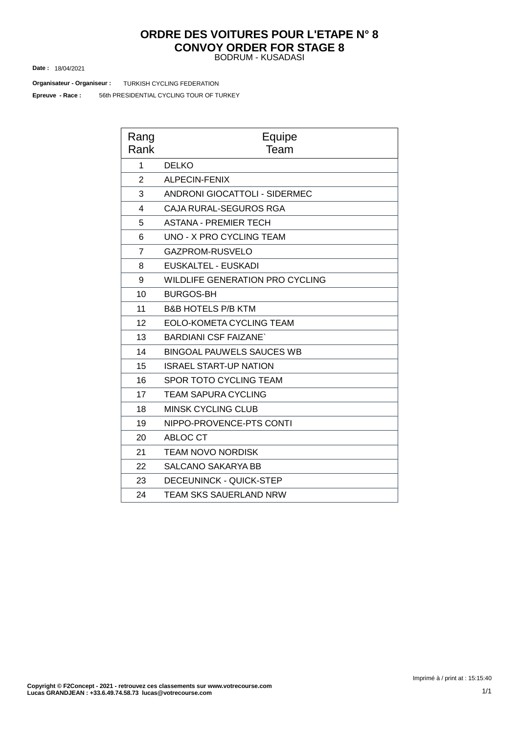# BODRUM - KUSADASI **ORDRE DES VOITURES POUR L'ETAPE N° 8 CONVOY ORDER FOR STAGE 8**

18/04/2021 **Date :**

**Organisateur - Organiseur : TURKISH CYCLING FEDERATION** 

56th PRESIDENTIAL CYCLING TOUR OF TURKEY **Epreuve - Race :**

| Rang<br>Rank   | Equipe<br>Team                         |
|----------------|----------------------------------------|
| 1              | <b>DELKO</b>                           |
| $\overline{2}$ | <b>ALPECIN-FENIX</b>                   |
| 3              | <b>ANDRONI GIOCATTOLI - SIDERMEC</b>   |
| 4              | CAJA RURAL-SEGUROS RGA                 |
| 5              | <b>ASTANA - PREMIER TECH</b>           |
| 6              | <b>UNO - X PRO CYCLING TEAM</b>        |
| $\overline{7}$ | GAZPROM-RUSVELO                        |
| 8              | <b>EUSKALTEL - EUSKADI</b>             |
| 9              | <b>WILDLIFE GENERATION PRO CYCLING</b> |
| 10             | <b>BURGOS-BH</b>                       |
| 11             | <b>B&amp;B HOTELS P/B KTM</b>          |
| 12             | EOLO-KOMETA CYCLING TEAM               |
| 13             | <b>BARDIANI CSF FAIZANE`</b>           |
| 14             | <b>BINGOAL PAUWELS SAUCES WB</b>       |
| 15             | <b>ISRAEL START-UP NATION</b>          |
| 16             | <b>SPOR TOTO CYCLING TEAM</b>          |
| 17             | <b>TEAM SAPURA CYCLING</b>             |
| 18             | <b>MINSK CYCLING CLUB</b>              |
| 19             | NIPPO-PROVENCE-PTS CONTI               |
| 20             | ABLOC CT                               |
| 21             | TEAM NOVO NORDISK                      |
| 22             | <b>SALCANO SAKARYA BB</b>              |
| 23             | <b>DECEUNINCK - QUICK-STEP</b>         |
| 24             | TEAM SKS SAUERLAND NRW                 |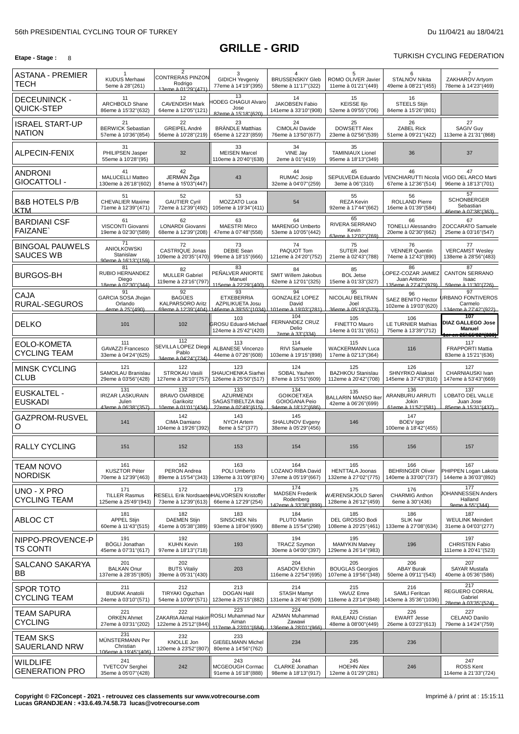# **GRILLE - GRID**

**Etape -** Stage : 8 8 **TURKISH CYCLING FEDERATION** 

| <b>ASTANA - PREMIER</b><br>TECH            | 1<br><b>KUDUS Merhawi</b><br>5eme à 28"(261)                   | 2<br>CONTRERAS PINZON<br>Rodrigo<br>13eme à 01'29"(471)          | 3<br><b>GIDICH Yevgeniy</b><br>77eme à 14'19"(395)                                              | 4<br><b>BRUSSENSKIY Gleb</b><br>58eme à 11'17"(322)                     | 5<br>ROMO OLIVER Javier<br>11eme à 01'21"(449)          | 6<br>STALNOV Nikita<br>49eme à 08'21"(455)                       | ZAKHAROV Artyom<br>78eme à 14'23" (469)                                                          |
|--------------------------------------------|----------------------------------------------------------------|------------------------------------------------------------------|-------------------------------------------------------------------------------------------------|-------------------------------------------------------------------------|---------------------------------------------------------|------------------------------------------------------------------|--------------------------------------------------------------------------------------------------|
| <b>DECEUNINCK -</b><br>QUICK-STEP          | 11<br>ARCHBOLD Shane<br>86eme à 15'32"(632)                    | 12<br><b>CAVENDISH Mark</b><br>64eme à 12'05"(121)               | 13<br><b>IODEG CHAGUI Alvaro</b><br>Jose<br>82eme à 15'18"(620)                                 | 14<br><b>JAKOBSEN Fabio</b><br>141eme à 33'10"(908)                     | 15<br><b>KEISSE IIjo</b><br>52eme à 09'55"(706)         | 16<br><b>STEELS Stijn</b><br>84eme à 15'26"(801)                 |                                                                                                  |
| <b>ISRAEL START-UP</b><br><b>NATION</b>    | 21<br><b>BERWICK Sebastian</b><br>57eme à 10'36"(854)          | 22<br>GREIPEL André<br>56eme à 10'28"(219)                       | 23<br><b>BRÄNDLE Matthias</b><br>65eme à 12'23"(859)                                            | 24<br>CIMOLAI Davide<br>76eme à 13'50"(677)                             | 25<br><b>DOWSETT Alex</b><br>23eme à 02'56"(539)        | 26<br><b>ZABEL Rick</b><br>51eme à 09'21"(422)                   | 27<br><b>SAGIV Guy</b><br>113eme à 21'31"(868)                                                   |
| ALPECIN-FENIX                              | 31<br>PHILIPSEN Jasper<br>55eme à 10'28"(95)                   | 32                                                               | 33<br><b>MEISEN Marcel</b><br>110eme à 20'40''(638)                                             | 34<br>VINE Jay<br>2eme à 01"(419)                                       | 35<br><b>TAMINIAUX Lionel</b><br>95eme à 18'13"(349)    | 36                                                               | 37                                                                                               |
| <b>ANDRONI</b><br>GIOCATTOLI -             | 41<br>MALUCELLI Matteo<br>130eme à 26'18"(602)                 | 42<br>JERMAN Žiga<br>81eme à 15'03"(447)                         | 43                                                                                              | 44<br><b>RUMAC Josip</b><br>32eme à 04'07" (259)                        | 45<br>SEPULVEDA Eduardo<br>3eme à 06"(310)              | 46<br>VENCHIARUTTI Nicola<br>67eme à 12'36"(514)                 | 47<br>VIGO DEL ARCO Marti<br>96eme à 18'13"(701)                                                 |
| <b>B&amp;B HOTELS P/B</b><br>KTM           | 51<br><b>CHEVALIER Maxime</b><br>71eme à 12'39"(471)           | 52<br><b>GAUTIER Cyril</b><br>72eme à 12'39"(492)                | 53<br>MOZZATO Luca<br>105eme à 19'34"(411)                                                      | 54                                                                      | 55<br><b>REZA Kevin</b><br>92eme à 17'44"(662)          | 56<br><b>ROLLAND Pierre</b><br>16eme à 01'39"(584)               | 57<br><b>SCHONBERGER</b><br>Sebastian<br>46eme à 07'38"(363)                                     |
| <b>BARDIANI CSF</b><br><b>FAIZANE</b>      | 61<br>VISCONTI Giovanni<br>19eme à 02'30"(589)                 | 62<br>LONARDI Giovanni<br>68eme à 12'39"(208)                    | 63<br><b>MAESTRI Mirco</b><br>47eme à 07'48"(558)                                               | 64<br>MARENGO Umberto<br>53eme à 10'05" (442)                           | 65<br>RIVERA SERRANO<br>Kevin<br>63eme à 12'02"(769)    | 66<br><b>TONELLI Alessandro</b><br>20eme à 02'30"(662)           | 67<br>ZOCCARATO Samuele<br>25eme à 03'16"(547)                                                   |
| <b>BINGOAL PAUWELS</b><br><b>SAUCES WB</b> | 71<br><b>ANIOLKOWSKI</b><br>Stanislaw<br>90eme à 16'13"(159)   | 72<br><b>CASTRIQUE Jonas</b><br>109eme à 20'35"(470)             | 73<br><b>DEBIE Sean</b><br>99eme à 18'15"(666)                                                  | 74<br>PAQUOT Tom<br>121eme à 24'20"(752)                                | 75<br><b>SUTER Joel</b><br>21eme à 02'43"(788)          | 76<br><b>VENNER Quentin</b><br>74eme à 12'43"(890)               | 77<br><b>VERCAMST Wesley</b><br>138eme à 28'56"(483)                                             |
| <b>BURGOS-BH</b>                           | 81<br>RUBIO HERNANDEZ<br>Diego<br>18eme à 02'30" (344)         | 82<br><b>MULLER Gabriel</b><br>119eme à 23'16"(797)              | 83<br>PEÑALVER ANIORTE<br>Manuel<br>115eme à 22'29"(400)                                        | 84<br><b>SMIT Willem Jakobus</b><br>62eme à 12'01"(325)                 | 85<br><b>BOL Jetse</b><br>15eme à 01'33"(327)           | 86<br>OPEZ-COZAR JAIMEZ<br>Juan Antonio<br>135eme à 27'47''(979) | 87<br><b>CANTON SERRANO</b><br>Isaac<br>59eme à 11'30"(726)                                      |
| CAJA<br><b>RURAL-SEGUROS</b>               | 91<br>GARCIA SOSA Jhojan<br>Orlando<br>4eme à 25"(490).        | 92<br><b>BAGÜES</b><br><b>KALPARSORO Aritz</b>                   | 93<br><b>ETXEBERRIA</b><br><b>AZPILIKUETA Josu</b><br>69eme à 12'39"(404) 146eme à 39'55"(1034) | 94<br><b>GONZALEZ LOPEZ</b><br>David<br>101eme à 19'03"(281)            | 95<br>NICOLAU BELTRAN<br>Joel<br>36eme à 05'19"(573)    | 96<br>SAEZ BENITO Hector<br>102eme à 19'03"(620)                 | 97<br><b>JRBANO FONTIVEROS</b><br>Carmelo<br>134eme à 27'42"(922).                               |
| <b>DELKO</b>                               | 101                                                            | 102                                                              | 103<br><b>GROSU Eduard-Michae</b><br>124eme à 25'42"(420)                                       | 104<br>FERNANDEZ CRUZ<br>Delio<br>7eme à 33"(334)                       | 105<br>FINETTO Mauro<br>14eme à 01'31"(651)             | 106<br><b>LE TURNIER Mathias</b><br>75eme à 13'39"(712)          | 107<br><b>DIAZ GALLEGO Jose</b><br><b>Manuel</b><br><del>er en 25h55'02"(338) <sup>j</sup></del> |
| EOLO-KOMETA<br><b>CYCLING TEAM</b>         | 111<br><b>GAVAZZI Francesco</b><br>33eme à 04'24"(625)         | 112<br>SEVILLA LOPEZ Diego<br>Pablo<br>34eme à 04'24"(734)       | 113<br><b>ALBANESE Vincenzo</b><br>44eme à 07'26"(608)                                          | 114<br>RIVI Samuele<br>103eme à 19'15"(898)                             | 115<br><b>WACKERMANN Luca</b><br>17eme à 02'13"(364)    | 116                                                              | 117<br><b>FRAPPORTI Mattia</b><br>83eme à 15'21"(636)                                            |
| <b>MINSK CYCLING</b><br><b>CLUB</b>        | 121<br>SAMOILAU Branislau<br>29eme à 03'56"(428)               | 122<br><b>STROKAU Vasili</b><br>127eme à 26'10"(757)             | 123<br>SHAUCHENKA Siarhei<br>126eme à 25'50"(517)                                               | 124<br>SOBAL Yauhen<br>87eme à 15'51"(609)                              | 125<br><b>BAZHKOU Stanislau</b><br>112eme à 20'42"(708) | 126<br>SHNYRKO Aliaksei<br>145eme à 37'43"(810)                  | 127<br>CHARNIAUSKI Ivan<br>147eme à 53'43"(669)                                                  |
| EUSKALTEL -<br><b>EUSKADI</b>              | 131<br><b>IRIZAR LASKURAIN</b><br>Julen<br>43eme à 06'38"(357) | 132<br><b>BRAVO OIARBIDE</b><br>Garikoitz<br>10eme à 01'01"(434) | 133<br><b>AZURMENDI</b><br>SAGASTIBELTZA Ibai<br>22eme à 02'49"(615)                            | 134<br><b>GOIKOETXEA</b><br><b>GOIOGANA Peio</b><br>94eme à 18'12"(686) | 135<br><b>BALLARIN MANSO Ike</b><br>42eme à 06'26"(699) | 136<br><b>ARANBURU ARRUTI</b><br>Jokin<br>61eme à 11'52"(581)    | 137<br>LOBATO DEL VALLE<br>Juan Jose<br>85eme à 15'31"(437).                                     |
| GAZPROM-RUSVEL<br>O                        | 141                                                            | 142<br>CIMA Damiano<br>104eme à 19'26"(392)                      | 143<br><b>NYCH Artem</b><br>8eme à 52"(377)                                                     | 145<br>SHALUNOV Evgeny<br>38eme à 05'29"(456)                           | 146                                                     | 147<br><b>BOEV</b> Igor<br>100eme à 18'42"(455)                  |                                                                                                  |
| <b>RALLY CYCLING</b>                       | 151                                                            | 152                                                              | 153                                                                                             | 154                                                                     | 155                                                     | 156                                                              | 157                                                                                              |
| TEAM NOVO<br><b>NORDISK</b>                | 161<br><b>KUSZTOR Péter</b><br>70eme à 12'39"(463)             | 162<br><b>PERON Andrea</b><br>89eme à 15'54"(343)                | 163<br>POLI Umberto<br>139eme à 31'09"(874)                                                     | 164<br>LOZANO RIBA David<br>37eme à 05'19"(667)                         | 165<br><b>HENTTALA Joonas</b><br>132eme à 27'02"(775)   | 166<br><b>BEHRINGER Oliver</b><br>140eme à 33'00" (737)          | 167<br>PHIPPEN Logan Lakota<br>144eme à 36'03"(892)                                              |
| UNO - X PRO<br><b>CYCLING TEAM</b>         | 171<br><b>TILLER Rasmus</b><br>125eme à 25'49"(943)            | 172<br>73eme à 12'39"(613)                                       | 173<br>RESELL Erik NordsaeterHALVORSEN Kristoffer<br>66eme à 12'29"(254)                        | 174<br><b>MADSEN Frederik</b><br>Rodenberg<br>42eme à 33'38" (899)      | 175<br>WÆRENSKJOLD Søren<br>128eme à 26'12"(459)        | 176<br><b>CHARMIG Anthon</b><br>6eme à 30"(436)                  | 177<br>JOHANNESSEN Anders<br>Halland<br>9eme à 55"(344).                                         |
| ABLOC CT                                   | 181<br><b>APPEL Stijn</b><br>60eme à 11'43"(515)               | 182<br><b>DAEMEN Stijn</b><br>41eme à 05'38"(389)                | 183<br><b>SINSCHEK Nils</b><br>93eme à 18'04"(690)                                              | 184<br><b>PLUTO Martin</b><br>88eme à 15'54"(298)                       | 185<br>DEL GROSSO Bodi<br>108eme à 20'25"(461)          | 186<br><b>SLIK Ivar</b><br>133eme à 27'08"(634)                  | 187<br><b>WEULINK Meindert</b><br>31eme à 04'03"(277)                                            |
| NIPPO-PROVENCE-P<br><b>TS CONTI</b>        | 191<br><b>BÖGLI Jonathan</b><br>45eme à 07'31"(617)            | 192<br><b>KUHN Kevin</b><br>97eme à 18'13"(718)                  | 193                                                                                             | 194<br><b>TRACZ Szymon</b><br>30eme à 04'00"(397)                       | 195<br><b>MAMYKIN Matvey</b><br>129eme à 26'14"(983)    | 196                                                              | 197<br><b>CHRISTEN Fabio</b><br>111eme à 20'41"(523)                                             |
| <b>SALCANO SAKARYA</b><br><b>BB</b>        | 201<br><b>BALKAN Onur</b><br>137eme à 28'35"(805)              | 202<br><b>BUTS Vitaliy</b><br>39eme à 05'31"(430)                | 203                                                                                             | 204<br><b>ASADOV Elchin</b><br>116eme à 22'54"(695)                     | 205<br><b>BOUGLAS Georgios</b><br>107eme à 19'56" (348) | 206<br><b>ABAY Burak</b><br>50eme à 09'11"(543)                  | 207<br><b>SAYAR Mustafa</b><br>40eme à 05'36"(586)                                               |
| SPOR TOTO<br><b>CYCLING TEAM</b>           | 211<br><b>BUDIAK Anatolii</b><br>24eme à 03'10"(571)           | 212<br>TIRYAKI Oguzhan<br>54eme à 10'09"(571)                    | 213<br><b>DOGAN Halil</b><br>123eme à 25'15"(882)                                               | 214<br><b>STASH Mamyr</b><br>131eme à 26'46"(509)                       | 215<br>YAVUZ Emre<br>118eme à 23'14"(848)               | 216<br><b>SAMLI Feritcan</b><br>143eme à 35'36"(1036)            | 217<br>REGUERO CORRAL<br>Gabriel<br>28eme à 03'35"(524)                                          |
| TEAM SAPURA<br><b>CYCLING</b>              | 221<br><b>ORKEN Ahmet</b><br>27eme à 03'31"(202)               | 222<br>ZAKARIA Akmal Hakin<br>122eme à 25'12"(844)               | 223<br>ROSLI Muhammad Nur<br>Aiman<br>117eme à 23'01"(684)                                      | 224<br><b>AZMAN Muhammad</b><br>Zawawi<br>136eme à 28'01"(966)          | 225<br>RAILEANU Cristian<br>48eme à 08'00"(449)         | 226<br><b>EWART Jesse</b><br>26eme à 03'23"(613)                 | 227<br>CELANO Danilo<br>79eme à 14'24"(759)                                                      |
| <b>TEAM SKS</b><br><b>SAUERLAND NRW</b>    | 231<br>MÜNSTERMANN Per<br>Christian<br>106eme à 19'45"(406)    | 232<br><b>KNOLLE Jon</b><br>120eme à 23'52"(807)                 | 233<br><b>GIEßELMANN Michel</b><br>80eme à 14'56" (762)                                         | 234                                                                     | 235                                                     | 236                                                              |                                                                                                  |
| <b>WILDLIFE</b><br><b>GENERATION PRO</b>   | 241<br><b>TVETCOV Serghei</b><br>35eme à 05'07"(428)           | 242                                                              | 243<br>MCGEOUGH Cormac<br>91eme à 16'18"(888)                                                   | 244<br>CLARKE Jonathan<br>98eme à 18'13"(917)                           | 245<br><b>HOEHN Alex</b><br>12eme à 01'29"(281)         | 246                                                              | 247<br><b>ROSS Kent</b><br>114eme à 21'33"(724)                                                  |

**Copyright © F2Concept - 2021 - retrouvez ces classements sur www.votrecourse.com Lucas GRANDJEAN : +33.6.49.74.58.73 lucas@votrecourse.com**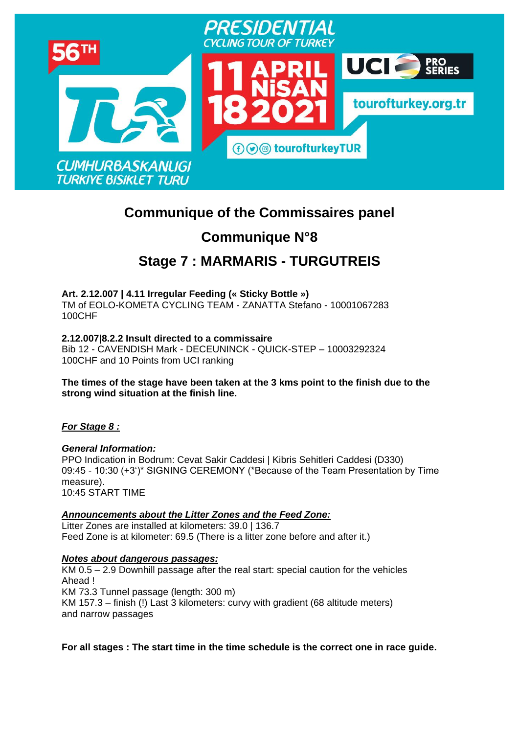

# **Communique of the Commissaires panel**

# **Communique N°8**

# **Stage 7 : MARMARIS - [TURGUTREIS](https://www.procyclingstats.com/race/tour-of-turkey/2021/stage-1)**

**Art. 2.12.007 | 4.11 Irregular Feeding (« Sticky Bottle »)** TM of EOLO-KOMETA CYCLING TEAM - ZANATTA Stefano - 10001067283 100CHF

**2.12.007|8.2.2 Insult directed to a commissaire** Bib 12 - CAVENDISH Mark - DECEUNINCK - QUICK-STEP – 10003292324 100CHF and 10 Points from UCI ranking

**The times of the stage have been taken at the 3 kms point to the finish due to the strong wind situation at the finish line.**

*For Stage 8 :* 

*General Information:* PPO Indication in Bodrum: Cevat Sakir Caddesi | Kibris Sehitleri Caddesi (D330) 09:45 - 10:30 (+3')\* SIGNING CEREMONY (\*Because of the Team Presentation by Time measure). 10:45 START TIME

*Announcements about the Litter Zones and the Feed Zone:* Litter Zones are installed at kilometers: 39.0 | 136.7 Feed Zone is at kilometer: 69.5 (There is a litter zone before and after it.)

# *Notes about dangerous passages:*

KM 0.5 – 2.9 Downhill passage after the real start: special caution for the vehicles Ahead ! KM 73.3 Tunnel passage (length: 300 m) KM 157.3 – finish (!) Last 3 kilometers: curvy with gradient (68 altitude meters) and narrow passages

**For all stages : The start time in the time schedule is the correct one in race guide.**